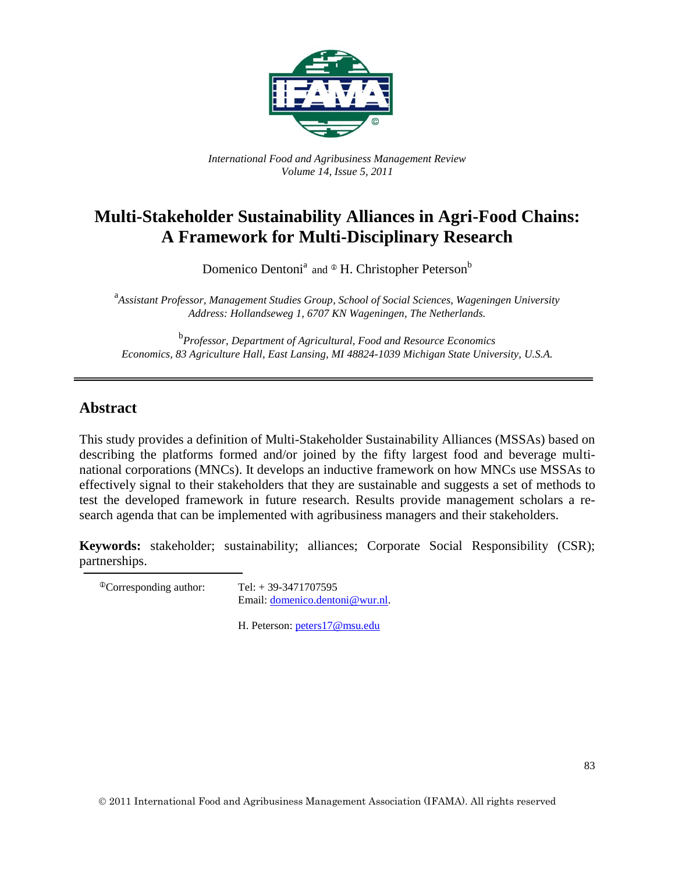

*International Food and Agribusiness Management Review Volume 14, Issue 5, 2011*

# **Multi-Stakeholder Sustainability Alliances in Agri-Food Chains: A Framework for Multi-Disciplinary Research**

Domenico Dentoni<sup>a</sup> and  $\Phi$  H. Christopher Peterson<sup>b</sup>

a *Assistant Professor, Management Studies Group, School of Social Sciences, Wageningen University Address: Hollandseweg 1, 6707 KN Wageningen, The Netherlands.*

b *Professor, Department of Agricultural, Food and Resource Economics Economics, 83 Agriculture Hall, East Lansing, MI 48824-1039 Michigan State University, U.S.A.*

### **Abstract**

This study provides a definition of Multi-Stakeholder Sustainability Alliances (MSSAs) based on describing the platforms formed and/or joined by the fifty largest food and beverage multinational corporations (MNCs). It develops an inductive framework on how MNCs use MSSAs to effectively signal to their stakeholders that they are sustainable and suggests a set of methods to test the developed framework in future research. Results provide management scholars a research agenda that can be implemented with agribusiness managers and their stakeholders.

**Keywords:** stakeholder; sustainability; alliances; Corporate Social Responsibility (CSR); partnerships.

 $^{\circ}$ Corresponding author: Tel: + 39-3471707595 Email: [domenico.dentoni@wur.nl.](mailto:domenico.dentoni@wur.nl)

H. Peterson: [peters17@msu.edu](mailto:peters17@msu.edu)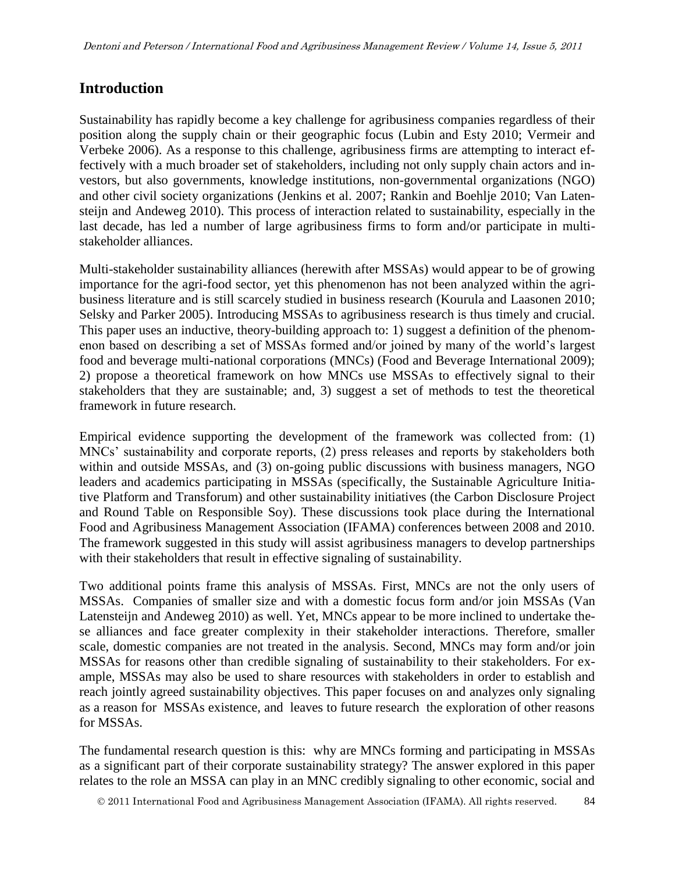# **Introduction**

Sustainability has rapidly become a key challenge for agribusiness companies regardless of their position along the supply chain or their geographic focus (Lubin and Esty 2010; Vermeir and Verbeke 2006). As a response to this challenge, agribusiness firms are attempting to interact effectively with a much broader set of stakeholders, including not only supply chain actors and investors, but also governments, knowledge institutions, non-governmental organizations (NGO) and other civil society organizations (Jenkins et al. 2007; Rankin and Boehlje 2010; Van Latensteijn and Andeweg 2010). This process of interaction related to sustainability, especially in the last decade, has led a number of large agribusiness firms to form and/or participate in multistakeholder alliances.

Multi-stakeholder sustainability alliances (herewith after MSSAs) would appear to be of growing importance for the agri-food sector, yet this phenomenon has not been analyzed within the agribusiness literature and is still scarcely studied in business research (Kourula and Laasonen 2010; Selsky and Parker 2005). Introducing MSSAs to agribusiness research is thus timely and crucial. This paper uses an inductive, theory-building approach to: 1) suggest a definition of the phenomenon based on describing a set of MSSAs formed and/or joined by many of the world's largest food and beverage multi-national corporations (MNCs) (Food and Beverage International 2009); 2) propose a theoretical framework on how MNCs use MSSAs to effectively signal to their stakeholders that they are sustainable; and, 3) suggest a set of methods to test the theoretical framework in future research.

Empirical evidence supporting the development of the framework was collected from: (1) MNCs' sustainability and corporate reports, (2) press releases and reports by stakeholders both within and outside MSSAs, and (3) on-going public discussions with business managers, NGO leaders and academics participating in MSSAs (specifically, the Sustainable Agriculture Initiative Platform and Transforum) and other sustainability initiatives (the Carbon Disclosure Project and Round Table on Responsible Soy). These discussions took place during the International Food and Agribusiness Management Association (IFAMA) conferences between 2008 and 2010. The framework suggested in this study will assist agribusiness managers to develop partnerships with their stakeholders that result in effective signaling of sustainability.

Two additional points frame this analysis of MSSAs. First, MNCs are not the only users of MSSAs. Companies of smaller size and with a domestic focus form and/or join MSSAs (Van Latensteijn and Andeweg 2010) as well. Yet, MNCs appear to be more inclined to undertake these alliances and face greater complexity in their stakeholder interactions. Therefore, smaller scale, domestic companies are not treated in the analysis. Second, MNCs may form and/or join MSSAs for reasons other than credible signaling of sustainability to their stakeholders. For example, MSSAs may also be used to share resources with stakeholders in order to establish and reach jointly agreed sustainability objectives. This paper focuses on and analyzes only signaling as a reason for MSSAs existence, and leaves to future research the exploration of other reasons for MSSAs.

The fundamental research question is this: why are MNCs forming and participating in MSSAs as a significant part of their corporate sustainability strategy? The answer explored in this paper relates to the role an MSSA can play in an MNC credibly signaling to other economic, social and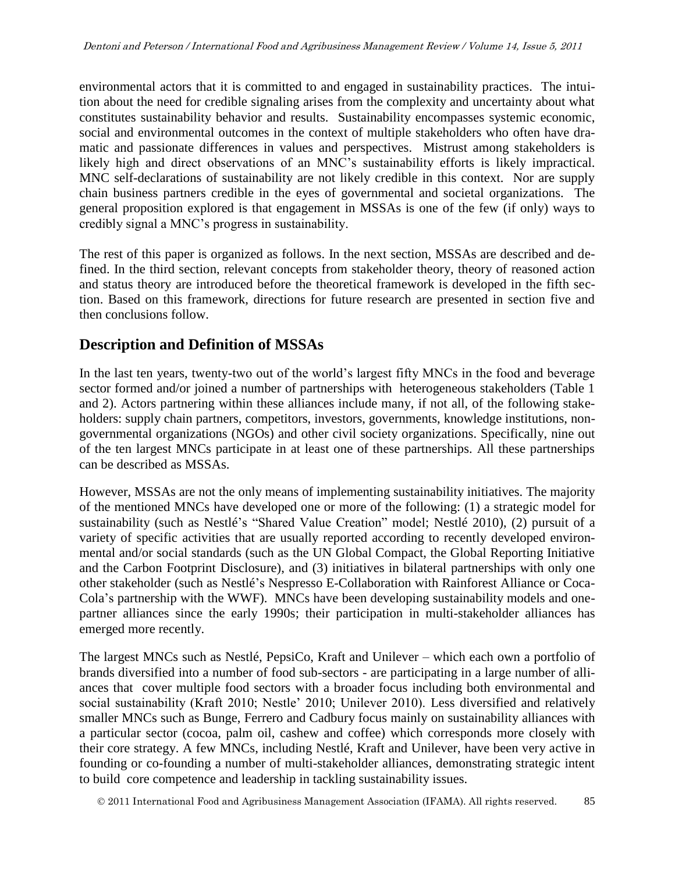environmental actors that it is committed to and engaged in sustainability practices. The intuition about the need for credible signaling arises from the complexity and uncertainty about what constitutes sustainability behavior and results. Sustainability encompasses systemic economic, social and environmental outcomes in the context of multiple stakeholders who often have dramatic and passionate differences in values and perspectives. Mistrust among stakeholders is likely high and direct observations of an MNC's sustainability efforts is likely impractical. MNC self-declarations of sustainability are not likely credible in this context. Nor are supply chain business partners credible in the eyes of governmental and societal organizations. The general proposition explored is that engagement in MSSAs is one of the few (if only) ways to credibly signal a MNC's progress in sustainability.

The rest of this paper is organized as follows. In the next section, MSSAs are described and defined. In the third section, relevant concepts from stakeholder theory, theory of reasoned action and status theory are introduced before the theoretical framework is developed in the fifth section. Based on this framework, directions for future research are presented in section five and then conclusions follow.

# **Description and Definition of MSSAs**

In the last ten years, twenty-two out of the world's largest fifty MNCs in the food and beverage sector formed and/or joined a number of partnerships with heterogeneous stakeholders (Table 1 and 2). Actors partnering within these alliances include many, if not all, of the following stakeholders: supply chain partners, competitors, investors, governments, knowledge institutions, nongovernmental organizations (NGOs) and other civil society organizations. Specifically, nine out of the ten largest MNCs participate in at least one of these partnerships. All these partnerships can be described as MSSAs.

However, MSSAs are not the only means of implementing sustainability initiatives. The majority of the mentioned MNCs have developed one or more of the following: (1) a strategic model for sustainability (such as Nestlé's "Shared Value Creation" model; Nestlé 2010), (2) pursuit of a variety of specific activities that are usually reported according to recently developed environmental and/or social standards (such as the UN Global Compact, the Global Reporting Initiative and the Carbon Footprint Disclosure), and (3) initiatives in bilateral partnerships with only one other stakeholder (such as Nestlé's Nespresso E-Collaboration with Rainforest Alliance or Coca-Cola's partnership with the WWF). MNCs have been developing sustainability models and onepartner alliances since the early 1990s; their participation in multi-stakeholder alliances has emerged more recently.

The largest MNCs such as Nestlé, PepsiCo, Kraft and Unilever – which each own a portfolio of brands diversified into a number of food sub-sectors - are participating in a large number of alliances that cover multiple food sectors with a broader focus including both environmental and social sustainability (Kraft 2010; Nestle' 2010; Unilever 2010). Less diversified and relatively smaller MNCs such as Bunge, Ferrero and Cadbury focus mainly on sustainability alliances with a particular sector (cocoa, palm oil, cashew and coffee) which corresponds more closely with their core strategy. A few MNCs, including Nestlé, Kraft and Unilever, have been very active in founding or co-founding a number of multi-stakeholder alliances, demonstrating strategic intent to build core competence and leadership in tackling sustainability issues.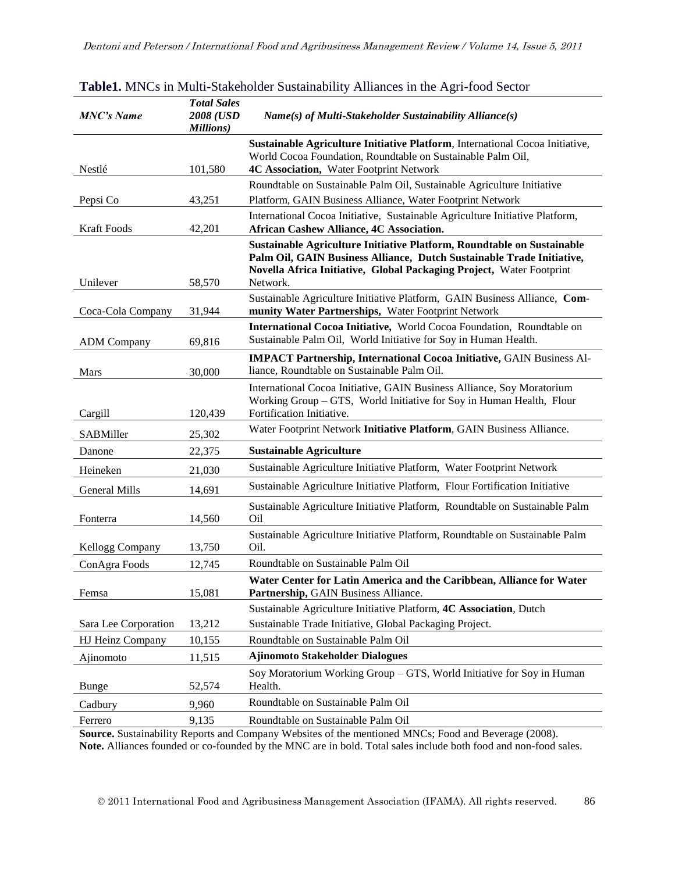| <b>MNC's Name</b>    | <b>Total Sales</b><br>2008 (USD<br><b>Millions</b> ) | Name(s) of Multi-Stakeholder Sustainability Alliance(s)                                                                                                                                                                             |  |
|----------------------|------------------------------------------------------|-------------------------------------------------------------------------------------------------------------------------------------------------------------------------------------------------------------------------------------|--|
| Nestlé               |                                                      | Sustainable Agriculture Initiative Platform, International Cocoa Initiative,<br>World Cocoa Foundation, Roundtable on Sustainable Palm Oil,<br>4C Association, Water Footprint Network                                              |  |
|                      | 101,580                                              | Roundtable on Sustainable Palm Oil, Sustainable Agriculture Initiative                                                                                                                                                              |  |
| Pepsi Co             | 43,251                                               | Platform, GAIN Business Alliance, Water Footprint Network                                                                                                                                                                           |  |
| <b>Kraft Foods</b>   | 42,201                                               | International Cocoa Initiative, Sustainable Agriculture Initiative Platform,<br><b>African Cashew Alliance, 4C Association.</b>                                                                                                     |  |
| Unilever             | 58,570                                               | Sustainable Agriculture Initiative Platform, Roundtable on Sustainable<br>Palm Oil, GAIN Business Alliance, Dutch Sustainable Trade Initiative,<br>Novella Africa Initiative, Global Packaging Project, Water Footprint<br>Network. |  |
| Coca-Cola Company    | 31,944                                               | Sustainable Agriculture Initiative Platform, GAIN Business Alliance, Com-<br>munity Water Partnerships, Water Footprint Network                                                                                                     |  |
| <b>ADM</b> Company   | 69,816                                               | International Cocoa Initiative, World Cocoa Foundation, Roundtable on<br>Sustainable Palm Oil, World Initiative for Soy in Human Health.                                                                                            |  |
| Mars                 | 30,000                                               | <b>IMPACT Partnership, International Cocoa Initiative, GAIN Business Al-</b><br>liance, Roundtable on Sustainable Palm Oil.                                                                                                         |  |
| Cargill              | 120,439                                              | International Cocoa Initiative, GAIN Business Alliance, Soy Moratorium<br>Working Group - GTS, World Initiative for Soy in Human Health, Flour<br>Fortification Initiative.                                                         |  |
| SABMiller            | 25,302                                               | Water Footprint Network Initiative Platform, GAIN Business Alliance.                                                                                                                                                                |  |
| Danone               | 22,375                                               | <b>Sustainable Agriculture</b>                                                                                                                                                                                                      |  |
| Heineken             | 21,030                                               | Sustainable Agriculture Initiative Platform, Water Footprint Network                                                                                                                                                                |  |
| <b>General Mills</b> | 14,691                                               | Sustainable Agriculture Initiative Platform, Flour Fortification Initiative                                                                                                                                                         |  |
| Fonterra             | 14,560                                               | Sustainable Agriculture Initiative Platform, Roundtable on Sustainable Palm<br>O <sub>il</sub>                                                                                                                                      |  |
| Kellogg Company      | 13,750                                               | Sustainable Agriculture Initiative Platform, Roundtable on Sustainable Palm<br>Oil.                                                                                                                                                 |  |
| ConAgra Foods        | 12,745                                               | Roundtable on Sustainable Palm Oil                                                                                                                                                                                                  |  |
| Femsa                | 15,081                                               | Water Center for Latin America and the Caribbean, Alliance for Water<br>Partnership, GAIN Business Alliance.                                                                                                                        |  |
|                      |                                                      | Sustainable Agriculture Initiative Platform, 4C Association, Dutch                                                                                                                                                                  |  |
| Sara Lee Corporation | 13,212                                               | Sustainable Trade Initiative, Global Packaging Project.                                                                                                                                                                             |  |
| HJ Heinz Company     | 10,155                                               | Roundtable on Sustainable Palm Oil                                                                                                                                                                                                  |  |
| Ajinomoto            | 11,515                                               | <b>Ajinomoto Stakeholder Dialogues</b>                                                                                                                                                                                              |  |
| Bunge                | 52,574                                               | Soy Moratorium Working Group - GTS, World Initiative for Soy in Human<br>Health.                                                                                                                                                    |  |
| Cadbury              | 9,960                                                | Roundtable on Sustainable Palm Oil                                                                                                                                                                                                  |  |
| Ferrero              | 9,135                                                | Roundtable on Sustainable Palm Oil                                                                                                                                                                                                  |  |

| Table1. MNCs in Multi-Stakeholder Sustainability Alliances in the Agri-food Sector |  |
|------------------------------------------------------------------------------------|--|
|------------------------------------------------------------------------------------|--|

**Source.** Sustainability Reports and Company Websites of the mentioned MNCs; Food and Beverage (2008). **Note.** Alliances founded or co-founded by the MNC are in bold. Total sales include both food and non-food sales.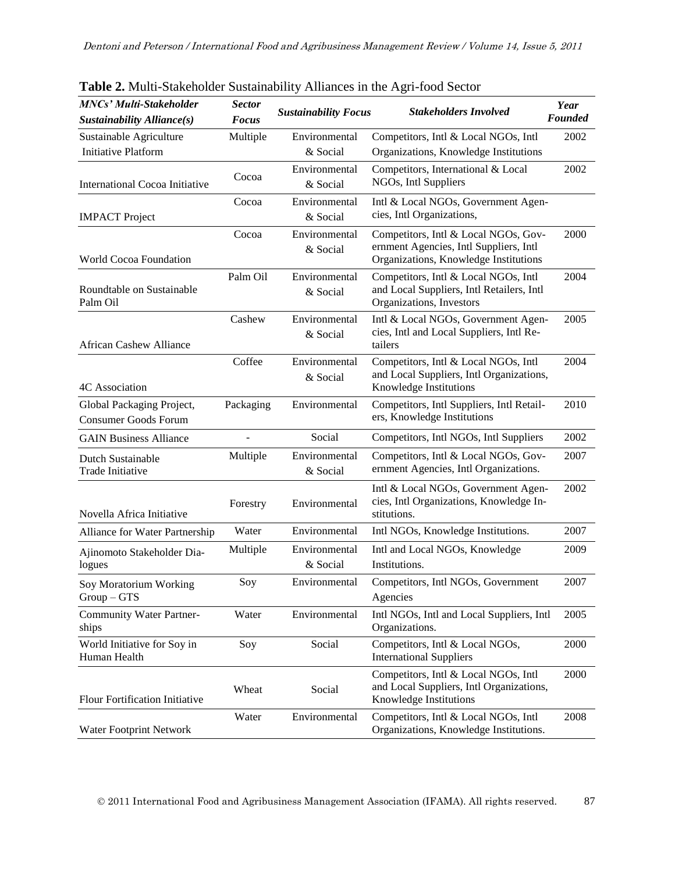| <b>MNCs' Multi-Stakeholder</b><br>Sustainability Alliance(s) | <b>Sector</b><br><b>Focus</b> | <b>Sustainability Focus</b> | <b>Stakeholders Involved</b>                                                                                            | Year<br><b>Founded</b> |
|--------------------------------------------------------------|-------------------------------|-----------------------------|-------------------------------------------------------------------------------------------------------------------------|------------------------|
| Sustainable Agriculture<br><b>Initiative Platform</b>        | Multiple                      | Environmental<br>& Social   | Competitors, Intl & Local NGOs, Intl<br>Organizations, Knowledge Institutions                                           | 2002                   |
| <b>International Cocoa Initiative</b>                        | Cocoa                         | Environmental<br>& Social   | Competitors, International & Local<br>NGOs, Intl Suppliers                                                              | 2002                   |
| <b>IMPACT</b> Project                                        | Cocoa                         | Environmental<br>& Social   | Intl & Local NGOs, Government Agen-<br>cies, Intl Organizations,                                                        |                        |
| World Cocoa Foundation                                       | Cocoa                         | Environmental<br>& Social   | Competitors, Intl & Local NGOs, Gov-<br>ernment Agencies, Intl Suppliers, Intl<br>Organizations, Knowledge Institutions | 2000                   |
| Roundtable on Sustainable<br>Palm Oil                        | Palm Oil                      | Environmental<br>& Social   | Competitors, Intl & Local NGOs, Intl<br>and Local Suppliers, Intl Retailers, Intl<br>Organizations, Investors           | 2004                   |
| <b>African Cashew Alliance</b>                               | Cashew                        | Environmental<br>& Social   | Intl & Local NGOs, Government Agen-<br>cies, Intl and Local Suppliers, Intl Re-<br>tailers                              | 2005                   |
| 4C Association                                               | Coffee                        | Environmental<br>& Social   | Competitors, Intl & Local NGOs, Intl<br>and Local Suppliers, Intl Organizations,<br>Knowledge Institutions              | 2004                   |
| Global Packaging Project,<br><b>Consumer Goods Forum</b>     | Packaging                     | Environmental               | Competitors, Intl Suppliers, Intl Retail-<br>ers, Knowledge Institutions                                                | 2010                   |
| <b>GAIN Business Alliance</b>                                |                               | Social                      | Competitors, Intl NGOs, Intl Suppliers                                                                                  | 2002                   |
| Dutch Sustainable<br>Trade Initiative                        | Multiple                      | Environmental<br>& Social   | Competitors, Intl & Local NGOs, Gov-<br>ernment Agencies, Intl Organizations.                                           | 2007                   |
| Novella Africa Initiative                                    | Forestry                      | Environmental               | Intl & Local NGOs, Government Agen-<br>cies, Intl Organizations, Knowledge In-<br>stitutions.                           | 2002                   |
| Alliance for Water Partnership                               | Water                         | Environmental               | Intl NGOs, Knowledge Institutions.                                                                                      | 2007                   |
| Ajinomoto Stakeholder Dia-<br>logues                         | Multiple                      | Environmental<br>& Social   | Intl and Local NGOs, Knowledge<br>Institutions.                                                                         | 2009                   |
| Soy Moratorium Working<br>$Group - GTS$                      | Soy                           | Environmental               | Competitors, Intl NGOs, Government<br>Agencies                                                                          | 2007                   |
| <b>Community Water Partner-</b><br>ships                     | Water                         | Environmental               | Intl NGOs, Intl and Local Suppliers, Intl<br>Organizations.                                                             | 2005                   |
| World Initiative for Soy in<br>Human Health                  | Soy                           | Social                      | Competitors, Intl & Local NGOs,<br><b>International Suppliers</b>                                                       | 2000                   |
| <b>Flour Fortification Initiative</b>                        | Wheat                         | Social                      | Competitors, Intl & Local NGOs, Intl<br>and Local Suppliers, Intl Organizations,<br>Knowledge Institutions              | 2000                   |
| Water Footprint Network                                      | Water                         | Environmental               | Competitors, Intl & Local NGOs, Intl<br>Organizations, Knowledge Institutions.                                          | 2008                   |

**Table 2.** Multi-Stakeholder Sustainability Alliances in the Agri-food Sector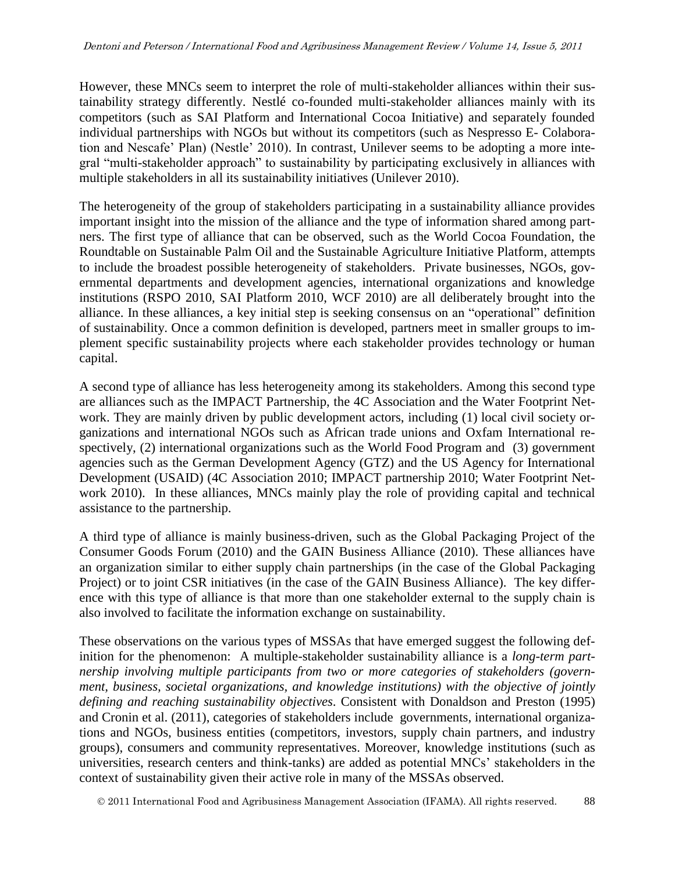However, these MNCs seem to interpret the role of multi-stakeholder alliances within their sustainability strategy differently. Nestlé co-founded multi-stakeholder alliances mainly with its competitors (such as SAI Platform and International Cocoa Initiative) and separately founded individual partnerships with NGOs but without its competitors (such as Nespresso E- Colaboration and Nescafe' Plan) (Nestle' 2010). In contrast, Unilever seems to be adopting a more integral "multi-stakeholder approach" to sustainability by participating exclusively in alliances with multiple stakeholders in all its sustainability initiatives (Unilever 2010).

The heterogeneity of the group of stakeholders participating in a sustainability alliance provides important insight into the mission of the alliance and the type of information shared among partners. The first type of alliance that can be observed, such as the World Cocoa Foundation, the Roundtable on Sustainable Palm Oil and the Sustainable Agriculture Initiative Platform, attempts to include the broadest possible heterogeneity of stakeholders. Private businesses, NGOs, governmental departments and development agencies, international organizations and knowledge institutions (RSPO 2010, SAI Platform 2010, WCF 2010) are all deliberately brought into the alliance. In these alliances, a key initial step is seeking consensus on an "operational" definition of sustainability. Once a common definition is developed, partners meet in smaller groups to implement specific sustainability projects where each stakeholder provides technology or human capital.

A second type of alliance has less heterogeneity among its stakeholders. Among this second type are alliances such as the IMPACT Partnership, the 4C Association and the Water Footprint Network. They are mainly driven by public development actors, including (1) local civil society organizations and international NGOs such as African trade unions and Oxfam International respectively, (2) international organizations such as the World Food Program and (3) government agencies such as the German Development Agency (GTZ) and the US Agency for International Development (USAID) (4C Association 2010; IMPACT partnership 2010; Water Footprint Network 2010). In these alliances, MNCs mainly play the role of providing capital and technical assistance to the partnership.

A third type of alliance is mainly business-driven, such as the Global Packaging Project of the Consumer Goods Forum (2010) and the GAIN Business Alliance (2010). These alliances have an organization similar to either supply chain partnerships (in the case of the Global Packaging Project) or to joint CSR initiatives (in the case of the GAIN Business Alliance). The key difference with this type of alliance is that more than one stakeholder external to the supply chain is also involved to facilitate the information exchange on sustainability.

These observations on the various types of MSSAs that have emerged suggest the following definition for the phenomenon: A multiple-stakeholder sustainability alliance is a *long-term partnership involving multiple participants from two or more categories of stakeholders (government, business, societal organizations, and knowledge institutions) with the objective of jointly defining and reaching sustainability objectives*. Consistent with Donaldson and Preston (1995) and Cronin et al. (2011), categories of stakeholders include governments, international organizations and NGOs, business entities (competitors, investors, supply chain partners, and industry groups), consumers and community representatives. Moreover, knowledge institutions (such as universities, research centers and think-tanks) are added as potential MNCs' stakeholders in the context of sustainability given their active role in many of the MSSAs observed.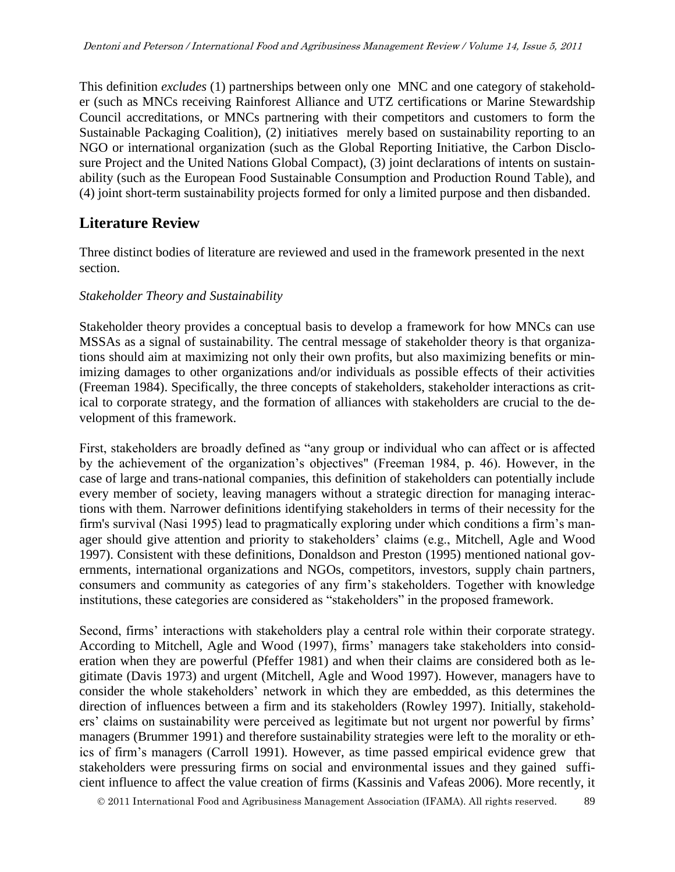This definition *excludes* (1) partnerships between only one MNC and one category of stakeholder (such as MNCs receiving Rainforest Alliance and UTZ certifications or Marine Stewardship Council accreditations, or MNCs partnering with their competitors and customers to form the Sustainable Packaging Coalition), (2) initiatives merely based on sustainability reporting to an NGO or international organization (such as the Global Reporting Initiative, the Carbon Disclosure Project and the United Nations Global Compact), (3) joint declarations of intents on sustainability (such as the European Food Sustainable Consumption and Production Round Table), and (4) joint short-term sustainability projects formed for only a limited purpose and then disbanded.

# **Literature Review**

Three distinct bodies of literature are reviewed and used in the framework presented in the next section.

### *Stakeholder Theory and Sustainability*

Stakeholder theory provides a conceptual basis to develop a framework for how MNCs can use MSSAs as a signal of sustainability. The central message of stakeholder theory is that organizations should aim at maximizing not only their own profits, but also maximizing benefits or minimizing damages to other organizations and/or individuals as possible effects of their activities (Freeman 1984). Specifically, the three concepts of stakeholders, stakeholder interactions as critical to corporate strategy, and the formation of alliances with stakeholders are crucial to the development of this framework.

First, stakeholders are broadly defined as "any group or individual who can affect or is affected by the achievement of the organization's objectives" (Freeman 1984, p. 46). However, in the case of large and trans-national companies, this definition of stakeholders can potentially include every member of society, leaving managers without a strategic direction for managing interactions with them. Narrower definitions identifying stakeholders in terms of their necessity for the firm's survival (Nasi 1995) lead to pragmatically exploring under which conditions a firm's manager should give attention and priority to stakeholders' claims (e.g., Mitchell, Agle and Wood 1997). Consistent with these definitions, Donaldson and Preston (1995) mentioned national governments, international organizations and NGOs, competitors, investors, supply chain partners, consumers and community as categories of any firm's stakeholders. Together with knowledge institutions, these categories are considered as "stakeholders" in the proposed framework.

Second, firms' interactions with stakeholders play a central role within their corporate strategy. According to Mitchell, Agle and Wood (1997), firms' managers take stakeholders into consideration when they are powerful (Pfeffer 1981) and when their claims are considered both as legitimate (Davis 1973) and urgent (Mitchell, Agle and Wood 1997). However, managers have to consider the whole stakeholders' network in which they are embedded, as this determines the direction of influences between a firm and its stakeholders (Rowley 1997). Initially, stakeholders' claims on sustainability were perceived as legitimate but not urgent nor powerful by firms' managers (Brummer 1991) and therefore sustainability strategies were left to the morality or ethics of firm's managers (Carroll 1991). However, as time passed empirical evidence grew that stakeholders were pressuring firms on social and environmental issues and they gained sufficient influence to affect the value creation of firms (Kassinis and Vafeas 2006). More recently, it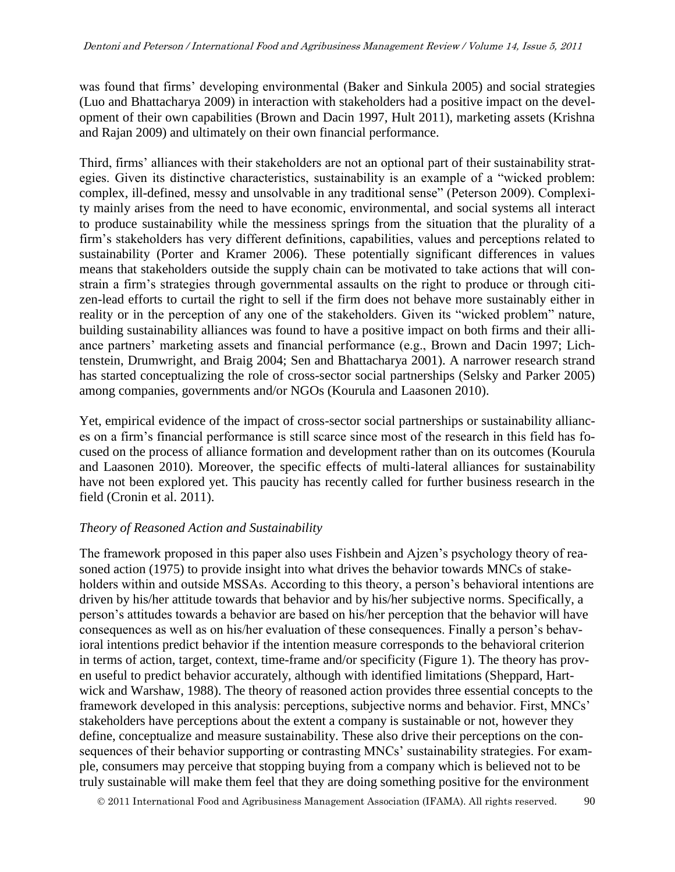was found that firms' developing environmental (Baker and Sinkula 2005) and social strategies (Luo and Bhattacharya 2009) in interaction with stakeholders had a positive impact on the development of their own capabilities (Brown and Dacin 1997, Hult 2011), marketing assets (Krishna and Rajan 2009) and ultimately on their own financial performance.

Third, firms' alliances with their stakeholders are not an optional part of their sustainability strategies. Given its distinctive characteristics, sustainability is an example of a "wicked problem: complex, ill-defined, messy and unsolvable in any traditional sense" (Peterson 2009). Complexity mainly arises from the need to have economic, environmental, and social systems all interact to produce sustainability while the messiness springs from the situation that the plurality of a firm's stakeholders has very different definitions, capabilities, values and perceptions related to sustainability (Porter and Kramer 2006). These potentially significant differences in values means that stakeholders outside the supply chain can be motivated to take actions that will constrain a firm's strategies through governmental assaults on the right to produce or through citizen-lead efforts to curtail the right to sell if the firm does not behave more sustainably either in reality or in the perception of any one of the stakeholders. Given its "wicked problem" nature, building sustainability alliances was found to have a positive impact on both firms and their alliance partners' marketing assets and financial performance (e.g., Brown and Dacin 1997; Lichtenstein, Drumwright, and Braig 2004; Sen and Bhattacharya 2001). A narrower research strand has started conceptualizing the role of cross-sector social partnerships (Selsky and Parker 2005) among companies, governments and/or NGOs (Kourula and Laasonen 2010).

Yet, empirical evidence of the impact of cross-sector social partnerships or sustainability alliances on a firm's financial performance is still scarce since most of the research in this field has focused on the process of alliance formation and development rather than on its outcomes (Kourula and Laasonen 2010). Moreover, the specific effects of multi-lateral alliances for sustainability have not been explored yet. This paucity has recently called for further business research in the field (Cronin et al. 2011).

### *Theory of Reasoned Action and Sustainability*

The framework proposed in this paper also uses Fishbein and Ajzen's psychology theory of reasoned action (1975) to provide insight into what drives the behavior towards MNCs of stakeholders within and outside MSSAs. According to this theory, a person's behavioral intentions are driven by his/her attitude towards that behavior and by his/her subjective norms. Specifically, a person's attitudes towards a behavior are based on his/her perception that the behavior will have consequences as well as on his/her evaluation of these consequences. Finally a person's behavioral intentions predict behavior if the intention measure corresponds to the behavioral criterion in terms of action, target, context, time-frame and/or specificity (Figure 1). The theory has proven useful to predict behavior accurately, although with identified limitations (Sheppard, Hartwick and Warshaw, 1988). The theory of reasoned action provides three essential concepts to the framework developed in this analysis: perceptions, subjective norms and behavior. First, MNCs' stakeholders have perceptions about the extent a company is sustainable or not, however they define, conceptualize and measure sustainability. These also drive their perceptions on the consequences of their behavior supporting or contrasting MNCs' sustainability strategies. For example, consumers may perceive that stopping buying from a company which is believed not to be truly sustainable will make them feel that they are doing something positive for the environment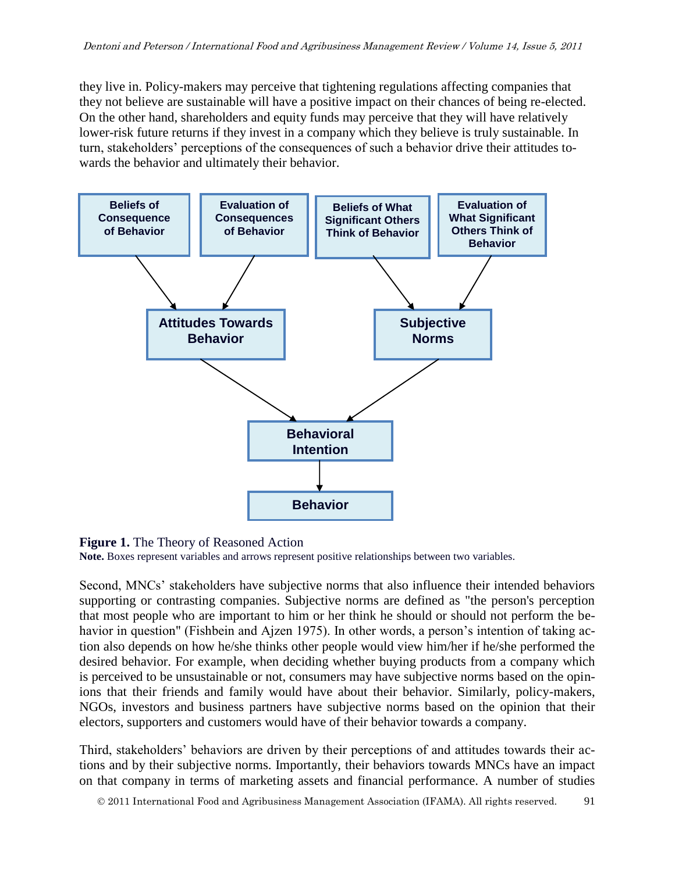they live in. Policy-makers may perceive that tightening regulations affecting companies that they not believe are sustainable will have a positive impact on their chances of being re-elected. On the other hand, shareholders and equity funds may perceive that they will have relatively lower-risk future returns if they invest in a company which they believe is truly sustainable. In turn, stakeholders' perceptions of the consequences of such a behavior drive their attitudes towards the behavior and ultimately their behavior.



#### **Figure 1.** The Theory of Reasoned Action

**Note.** Boxes represent variables and arrows represent positive relationships between two variables.

Second, MNCs' stakeholders have subjective norms that also influence their intended behaviors supporting or contrasting companies. Subjective norms are defined as "the person's perception that most people who are important to him or her think he should or should not perform the behavior in question" (Fishbein and Ajzen 1975). In other words, a person's intention of taking action also depends on how he/she thinks other people would view him/her if he/she performed the desired behavior. For example, when deciding whether buying products from a company which is perceived to be unsustainable or not, consumers may have subjective norms based on the opinions that their friends and family would have about their behavior. Similarly, policy-makers, NGOs, investors and business partners have subjective norms based on the opinion that their electors, supporters and customers would have of their behavior towards a company.

Third, stakeholders' behaviors are driven by their perceptions of and attitudes towards their actions and by their subjective norms. Importantly, their behaviors towards MNCs have an impact on that company in terms of marketing assets and financial performance. A number of studies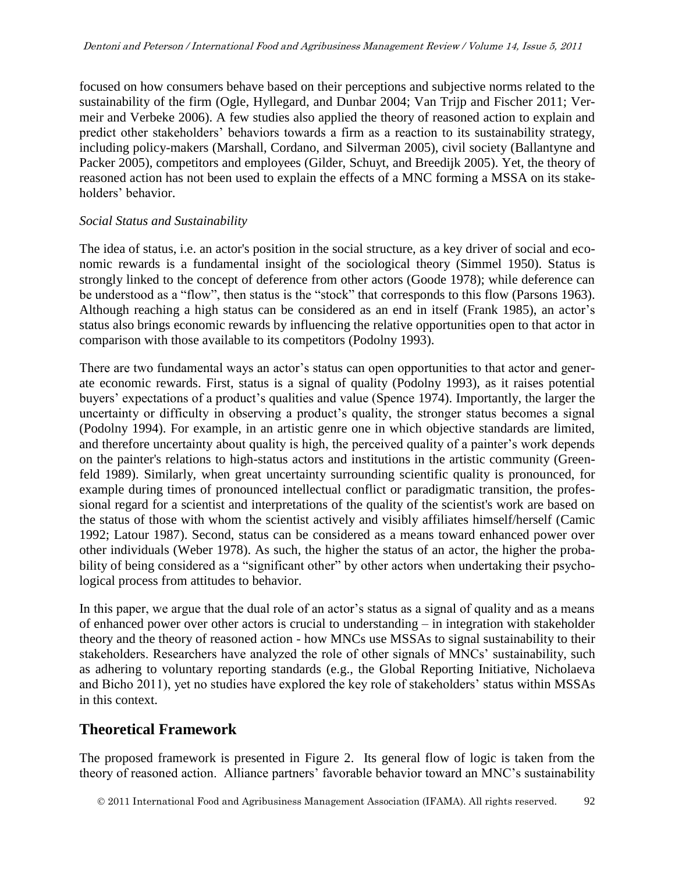focused on how consumers behave based on their perceptions and subjective norms related to the sustainability of the firm (Ogle, Hyllegard, and Dunbar 2004; Van Trijp and Fischer 2011; Vermeir and Verbeke 2006). A few studies also applied the theory of reasoned action to explain and predict other stakeholders' behaviors towards a firm as a reaction to its sustainability strategy, including policy-makers (Marshall, Cordano, and Silverman 2005), civil society (Ballantyne and Packer 2005), competitors and employees (Gilder, Schuyt, and Breedijk 2005). Yet, the theory of reasoned action has not been used to explain the effects of a MNC forming a MSSA on its stakeholders' behavior.

#### *Social Status and Sustainability*

The idea of status, i.e. an actor's position in the social structure, as a key driver of social and economic rewards is a fundamental insight of the sociological theory (Simmel 1950). Status is strongly linked to the concept of deference from other actors (Goode 1978); while deference can be understood as a "flow", then status is the "stock" that corresponds to this flow (Parsons 1963). Although reaching a high status can be considered as an end in itself (Frank 1985), an actor's status also brings economic rewards by influencing the relative opportunities open to that actor in comparison with those available to its competitors (Podolny 1993).

There are two fundamental ways an actor's status can open opportunities to that actor and generate economic rewards. First, status is a signal of quality (Podolny 1993), as it raises potential buyers' expectations of a product's qualities and value (Spence 1974). Importantly, the larger the uncertainty or difficulty in observing a product's quality, the stronger status becomes a signal (Podolny 1994). For example, in an artistic genre one in which objective standards are limited, and therefore uncertainty about quality is high, the perceived quality of a painter's work depends on the painter's relations to high-status actors and institutions in the artistic community (Greenfeld 1989). Similarly, when great uncertainty surrounding scientific quality is pronounced, for example during times of pronounced intellectual conflict or paradigmatic transition, the professional regard for a scientist and interpretations of the quality of the scientist's work are based on the status of those with whom the scientist actively and visibly affiliates himself/herself (Camic 1992; Latour 1987). Second, status can be considered as a means toward enhanced power over other individuals (Weber 1978). As such, the higher the status of an actor, the higher the probability of being considered as a "significant other" by other actors when undertaking their psychological process from attitudes to behavior.

In this paper, we argue that the dual role of an actor's status as a signal of quality and as a means of enhanced power over other actors is crucial to understanding – in integration with stakeholder theory and the theory of reasoned action - how MNCs use MSSAs to signal sustainability to their stakeholders. Researchers have analyzed the role of other signals of MNCs' sustainability, such as adhering to voluntary reporting standards (e.g., the Global Reporting Initiative, Nicholaeva and Bicho 2011), yet no studies have explored the key role of stakeholders' status within MSSAs in this context.

## **Theoretical Framework**

The proposed framework is presented in Figure 2. Its general flow of logic is taken from the theory of reasoned action. Alliance partners' favorable behavior toward an MNC's sustainability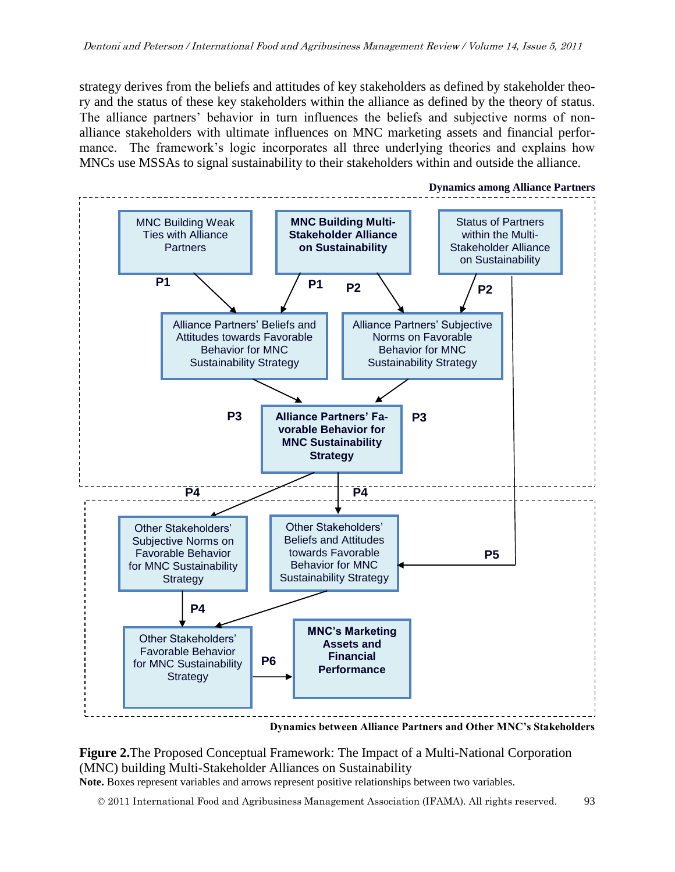strategy derives from the beliefs and attitudes of key stakeholders as defined by stakeholder theory and the status of these key stakeholders within the alliance as defined by the theory of status. The alliance partners' behavior in turn influences the beliefs and subjective norms of nonalliance stakeholders with ultimate influences on MNC marketing assets and financial performance. The framework's logic incorporates all three underlying theories and explains how MNCs use MSSAs to signal sustainability to their stakeholders within and outside the alliance.



#### **Figure 2.**The Proposed Conceptual Framework: The Impact of a Multi-National Corporation (MNC) building Multi-Stakeholder Alliances on Sustainability **Note.** Boxes represent variables and arrows represent positive relationships between two variables.

2011 International Food and Agribusiness Management Association (IFAMA). All rights reserved. 93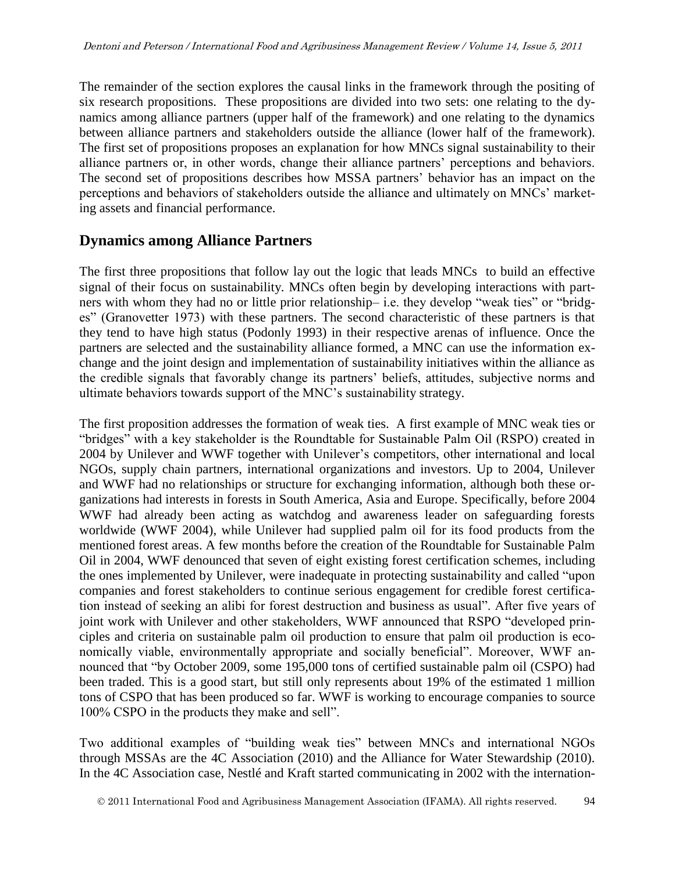The remainder of the section explores the causal links in the framework through the positing of six research propositions. These propositions are divided into two sets: one relating to the dynamics among alliance partners (upper half of the framework) and one relating to the dynamics between alliance partners and stakeholders outside the alliance (lower half of the framework). The first set of propositions proposes an explanation for how MNCs signal sustainability to their alliance partners or, in other words, change their alliance partners' perceptions and behaviors. The second set of propositions describes how MSSA partners' behavior has an impact on the perceptions and behaviors of stakeholders outside the alliance and ultimately on MNCs' marketing assets and financial performance.

### **Dynamics among Alliance Partners**

The first three propositions that follow lay out the logic that leads MNCs to build an effective signal of their focus on sustainability. MNCs often begin by developing interactions with partners with whom they had no or little prior relationship– i.e. they develop "weak ties" or "bridges" (Granovetter 1973) with these partners. The second characteristic of these partners is that they tend to have high status (Podonly 1993) in their respective arenas of influence. Once the partners are selected and the sustainability alliance formed, a MNC can use the information exchange and the joint design and implementation of sustainability initiatives within the alliance as the credible signals that favorably change its partners' beliefs, attitudes, subjective norms and ultimate behaviors towards support of the MNC's sustainability strategy.

The first proposition addresses the formation of weak ties. A first example of MNC weak ties or "bridges" with a key stakeholder is the Roundtable for Sustainable Palm Oil (RSPO) created in 2004 by Unilever and WWF together with Unilever's competitors, other international and local NGOs, supply chain partners, international organizations and investors. Up to 2004, Unilever and WWF had no relationships or structure for exchanging information, although both these organizations had interests in forests in South America, Asia and Europe. Specifically, before 2004 WWF had already been acting as watchdog and awareness leader on safeguarding forests worldwide (WWF 2004), while Unilever had supplied palm oil for its food products from the mentioned forest areas. A few months before the creation of the Roundtable for Sustainable Palm Oil in 2004, WWF denounced that seven of eight existing forest certification schemes, including the ones implemented by Unilever, were inadequate in protecting sustainability and called "upon companies and forest stakeholders to continue serious engagement for credible forest certification instead of seeking an alibi for forest destruction and business as usual". After five years of joint work with Unilever and other stakeholders, WWF announced that RSPO "developed principles and criteria on sustainable palm oil production to ensure that palm oil production is economically viable, environmentally appropriate and socially beneficial". Moreover, WWF announced that "by October 2009, some 195,000 tons of certified sustainable palm oil (CSPO) had been traded. This is a good start, but still only represents about 19% of the estimated 1 million tons of CSPO that has been produced so far. WWF is working to encourage companies to source 100% CSPO in the products they make and sell".

Two additional examples of "building weak ties" between MNCs and international NGOs through MSSAs are the 4C Association (2010) and the Alliance for Water Stewardship (2010). In the 4C Association case, Nestlé and Kraft started communicating in 2002 with the internation-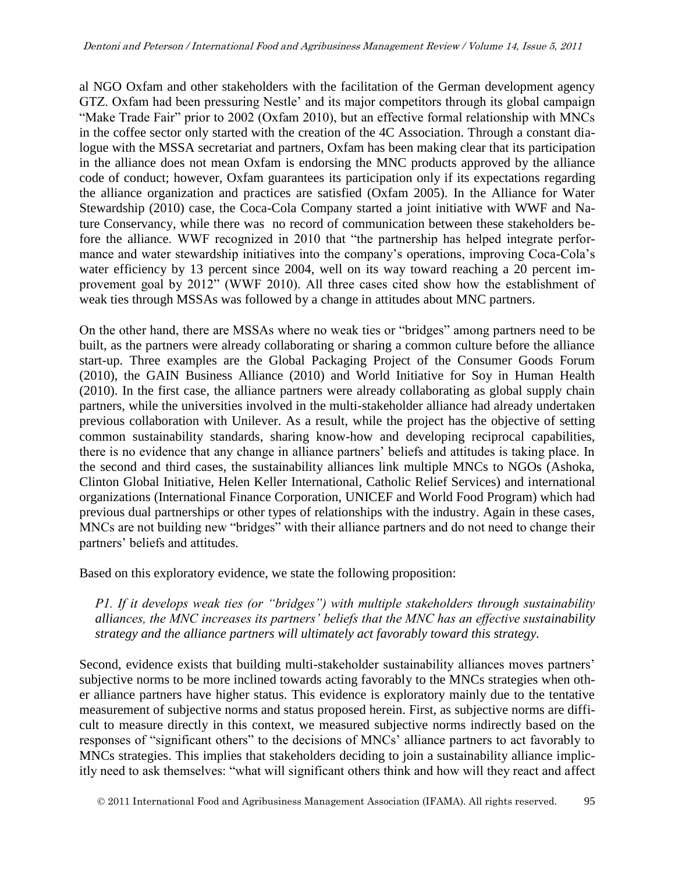al NGO Oxfam and other stakeholders with the facilitation of the German development agency GTZ. Oxfam had been pressuring Nestle' and its major competitors through its global campaign "Make Trade Fair" prior to 2002 (Oxfam 2010), but an effective formal relationship with MNCs in the coffee sector only started with the creation of the 4C Association. Through a constant dialogue with the MSSA secretariat and partners, Oxfam has been making clear that its participation in the alliance does not mean Oxfam is endorsing the MNC products approved by the alliance code of conduct; however, Oxfam guarantees its participation only if its expectations regarding the alliance organization and practices are satisfied (Oxfam 2005). In the Alliance for Water Stewardship (2010) case, the Coca-Cola Company started a joint initiative with WWF and Nature Conservancy, while there was no record of communication between these stakeholders before the alliance. WWF recognized in 2010 that "the partnership has helped integrate performance and water stewardship initiatives into the company's operations, improving Coca-Cola's water efficiency by 13 percent since 2004, well on its way toward reaching a 20 percent improvement goal by 2012" (WWF 2010). All three cases cited show how the establishment of weak ties through MSSAs was followed by a change in attitudes about MNC partners.

On the other hand, there are MSSAs where no weak ties or "bridges" among partners need to be built, as the partners were already collaborating or sharing a common culture before the alliance start-up. Three examples are the Global Packaging Project of the Consumer Goods Forum (2010), the GAIN Business Alliance (2010) and World Initiative for Soy in Human Health (2010). In the first case, the alliance partners were already collaborating as global supply chain partners, while the universities involved in the multi-stakeholder alliance had already undertaken previous collaboration with Unilever. As a result, while the project has the objective of setting common sustainability standards, sharing know-how and developing reciprocal capabilities, there is no evidence that any change in alliance partners' beliefs and attitudes is taking place. In the second and third cases, the sustainability alliances link multiple MNCs to NGOs (Ashoka, Clinton Global Initiative, Helen Keller International, Catholic Relief Services) and international organizations (International Finance Corporation, UNICEF and World Food Program) which had previous dual partnerships or other types of relationships with the industry. Again in these cases, MNCs are not building new "bridges" with their alliance partners and do not need to change their partners' beliefs and attitudes.

Based on this exploratory evidence, we state the following proposition:

*P1. If it develops weak ties (or "bridges") with multiple stakeholders through sustainability alliances, the MNC increases its partners' beliefs that the MNC has an effective sustainability strategy and the alliance partners will ultimately act favorably toward this strategy.*

Second, evidence exists that building multi-stakeholder sustainability alliances moves partners' subjective norms to be more inclined towards acting favorably to the MNCs strategies when other alliance partners have higher status. This evidence is exploratory mainly due to the tentative measurement of subjective norms and status proposed herein. First, as subjective norms are difficult to measure directly in this context, we measured subjective norms indirectly based on the responses of "significant others" to the decisions of MNCs' alliance partners to act favorably to MNCs strategies. This implies that stakeholders deciding to join a sustainability alliance implicitly need to ask themselves: "what will significant others think and how will they react and affect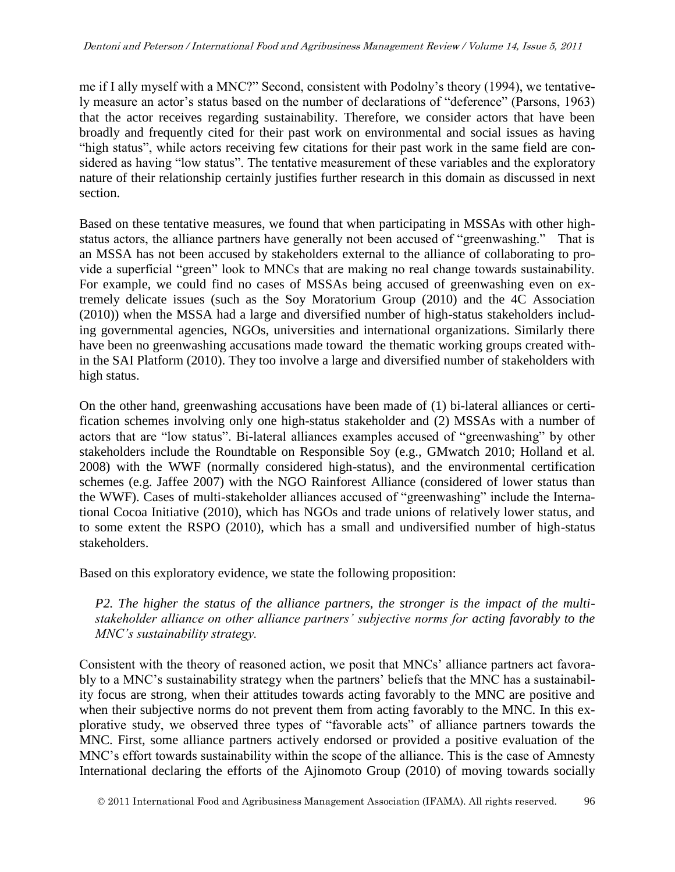me if I ally myself with a MNC?" Second, consistent with Podolny's theory (1994), we tentatively measure an actor's status based on the number of declarations of "deference" (Parsons, 1963) that the actor receives regarding sustainability. Therefore, we consider actors that have been broadly and frequently cited for their past work on environmental and social issues as having "high status", while actors receiving few citations for their past work in the same field are considered as having "low status". The tentative measurement of these variables and the exploratory nature of their relationship certainly justifies further research in this domain as discussed in next section.

Based on these tentative measures, we found that when participating in MSSAs with other highstatus actors, the alliance partners have generally not been accused of "greenwashing." That is an MSSA has not been accused by stakeholders external to the alliance of collaborating to provide a superficial "green" look to MNCs that are making no real change towards sustainability. For example, we could find no cases of MSSAs being accused of greenwashing even on extremely delicate issues (such as the Soy Moratorium Group (2010) and the 4C Association (2010)) when the MSSA had a large and diversified number of high-status stakeholders including governmental agencies, NGOs, universities and international organizations. Similarly there have been no greenwashing accusations made toward the thematic working groups created within the SAI Platform (2010). They too involve a large and diversified number of stakeholders with high status.

On the other hand, greenwashing accusations have been made of (1) bi-lateral alliances or certification schemes involving only one high-status stakeholder and (2) MSSAs with a number of actors that are "low status". Bi-lateral alliances examples accused of "greenwashing" by other stakeholders include the Roundtable on Responsible Soy (e.g., GMwatch 2010; Holland et al. 2008) with the WWF (normally considered high-status), and the environmental certification schemes (e.g. Jaffee 2007) with the NGO Rainforest Alliance (considered of lower status than the WWF). Cases of multi-stakeholder alliances accused of "greenwashing" include the International Cocoa Initiative (2010), which has NGOs and trade unions of relatively lower status, and to some extent the RSPO (2010), which has a small and undiversified number of high-status stakeholders.

Based on this exploratory evidence, we state the following proposition:

*P2. The higher the status of the alliance partners, the stronger is the impact of the multistakeholder alliance on other alliance partners' subjective norms for acting favorably to the MNC's sustainability strategy.*

Consistent with the theory of reasoned action, we posit that MNCs' alliance partners act favorably to a MNC's sustainability strategy when the partners' beliefs that the MNC has a sustainability focus are strong, when their attitudes towards acting favorably to the MNC are positive and when their subjective norms do not prevent them from acting favorably to the MNC. In this explorative study, we observed three types of "favorable acts" of alliance partners towards the MNC. First, some alliance partners actively endorsed or provided a positive evaluation of the MNC's effort towards sustainability within the scope of the alliance. This is the case of Amnesty International declaring the efforts of the Ajinomoto Group (2010) of moving towards socially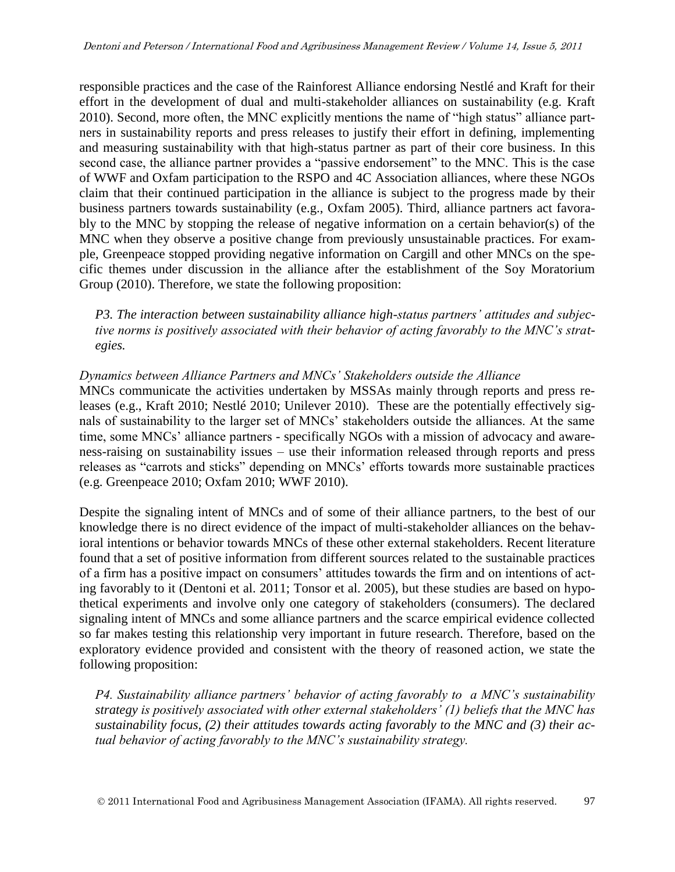responsible practices and the case of the Rainforest Alliance endorsing Nestlé and Kraft for their effort in the development of dual and multi-stakeholder alliances on sustainability (e.g. Kraft 2010). Second, more often, the MNC explicitly mentions the name of "high status" alliance partners in sustainability reports and press releases to justify their effort in defining, implementing and measuring sustainability with that high-status partner as part of their core business. In this second case, the alliance partner provides a "passive endorsement" to the MNC. This is the case of WWF and Oxfam participation to the RSPO and 4C Association alliances, where these NGOs claim that their continued participation in the alliance is subject to the progress made by their business partners towards sustainability (e.g., Oxfam 2005). Third, alliance partners act favorably to the MNC by stopping the release of negative information on a certain behavior(s) of the MNC when they observe a positive change from previously unsustainable practices. For example, Greenpeace stopped providing negative information on Cargill and other MNCs on the specific themes under discussion in the alliance after the establishment of the Soy Moratorium Group (2010). Therefore, we state the following proposition:

*P3. The interaction between sustainability alliance high-status partners' attitudes and subjective norms is positively associated with their behavior of acting favorably to the MNC's strategies.*

#### *Dynamics between Alliance Partners and MNCs' Stakeholders outside the Alliance*

MNCs communicate the activities undertaken by MSSAs mainly through reports and press releases (e.g., Kraft 2010; Nestlé 2010; Unilever 2010). These are the potentially effectively signals of sustainability to the larger set of MNCs' stakeholders outside the alliances. At the same time, some MNCs' alliance partners - specifically NGOs with a mission of advocacy and awareness-raising on sustainability issues – use their information released through reports and press releases as "carrots and sticks" depending on MNCs' efforts towards more sustainable practices (e.g. Greenpeace 2010; Oxfam 2010; WWF 2010).

Despite the signaling intent of MNCs and of some of their alliance partners, to the best of our knowledge there is no direct evidence of the impact of multi-stakeholder alliances on the behavioral intentions or behavior towards MNCs of these other external stakeholders. Recent literature found that a set of positive information from different sources related to the sustainable practices of a firm has a positive impact on consumers' attitudes towards the firm and on intentions of acting favorably to it (Dentoni et al. 2011; Tonsor et al. 2005), but these studies are based on hypothetical experiments and involve only one category of stakeholders (consumers). The declared signaling intent of MNCs and some alliance partners and the scarce empirical evidence collected so far makes testing this relationship very important in future research. Therefore, based on the exploratory evidence provided and consistent with the theory of reasoned action, we state the following proposition:

*P4. Sustainability alliance partners' behavior of acting favorably to a MNC's sustainability strategy is positively associated with other external stakeholders' (1) beliefs that the MNC has sustainability focus, (2) their attitudes towards acting favorably to the MNC and (3) their actual behavior of acting favorably to the MNC's sustainability strategy.*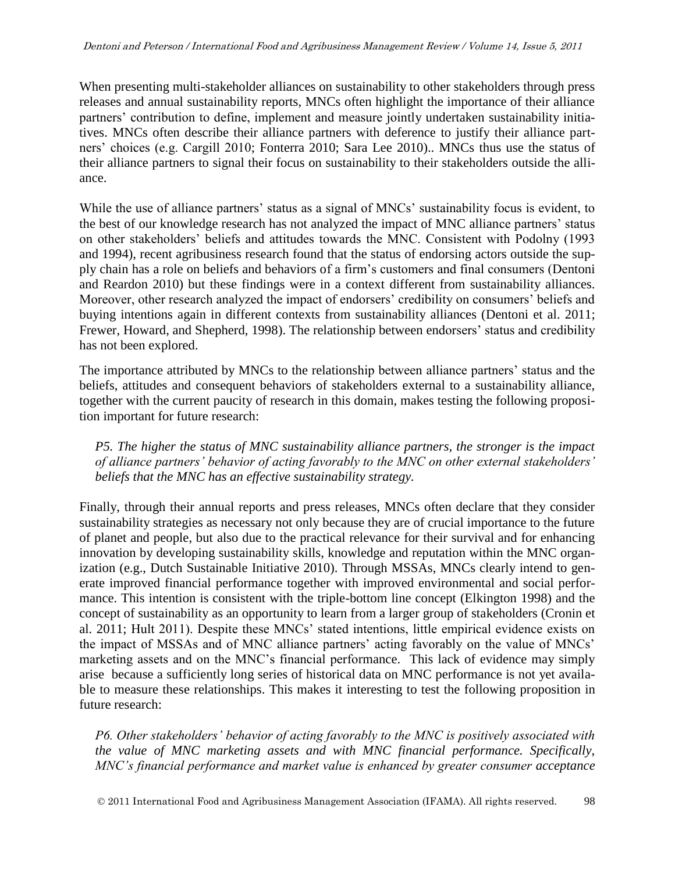When presenting multi-stakeholder alliances on sustainability to other stakeholders through press releases and annual sustainability reports, MNCs often highlight the importance of their alliance partners' contribution to define, implement and measure jointly undertaken sustainability initiatives. MNCs often describe their alliance partners with deference to justify their alliance partners' choices (e.g. Cargill 2010; Fonterra 2010; Sara Lee 2010).. MNCs thus use the status of their alliance partners to signal their focus on sustainability to their stakeholders outside the alliance.

While the use of alliance partners' status as a signal of MNCs' sustainability focus is evident, to the best of our knowledge research has not analyzed the impact of MNC alliance partners' status on other stakeholders' beliefs and attitudes towards the MNC. Consistent with Podolny (1993 and 1994), recent agribusiness research found that the status of endorsing actors outside the supply chain has a role on beliefs and behaviors of a firm's customers and final consumers (Dentoni and Reardon 2010) but these findings were in a context different from sustainability alliances. Moreover, other research analyzed the impact of endorsers' credibility on consumers' beliefs and buying intentions again in different contexts from sustainability alliances (Dentoni et al. 2011; Frewer, Howard, and Shepherd, 1998). The relationship between endorsers' status and credibility has not been explored.

The importance attributed by MNCs to the relationship between alliance partners' status and the beliefs, attitudes and consequent behaviors of stakeholders external to a sustainability alliance, together with the current paucity of research in this domain, makes testing the following proposition important for future research:

*P5. The higher the status of MNC sustainability alliance partners, the stronger is the impact of alliance partners' behavior of acting favorably to the MNC on other external stakeholders' beliefs that the MNC has an effective sustainability strategy.*

Finally, through their annual reports and press releases, MNCs often declare that they consider sustainability strategies as necessary not only because they are of crucial importance to the future of planet and people, but also due to the practical relevance for their survival and for enhancing innovation by developing sustainability skills, knowledge and reputation within the MNC organization (e.g., Dutch Sustainable Initiative 2010). Through MSSAs, MNCs clearly intend to generate improved financial performance together with improved environmental and social performance. This intention is consistent with the triple-bottom line concept (Elkington 1998) and the concept of sustainability as an opportunity to learn from a larger group of stakeholders (Cronin et al. 2011; Hult 2011). Despite these MNCs' stated intentions, little empirical evidence exists on the impact of MSSAs and of MNC alliance partners' acting favorably on the value of MNCs' marketing assets and on the MNC's financial performance. This lack of evidence may simply arise because a sufficiently long series of historical data on MNC performance is not yet available to measure these relationships. This makes it interesting to test the following proposition in future research:

*P6. Other stakeholders' behavior of acting favorably to the MNC is positively associated with the value of MNC marketing assets and with MNC financial performance. Specifically, MNC's financial performance and market value is enhanced by greater consumer acceptance*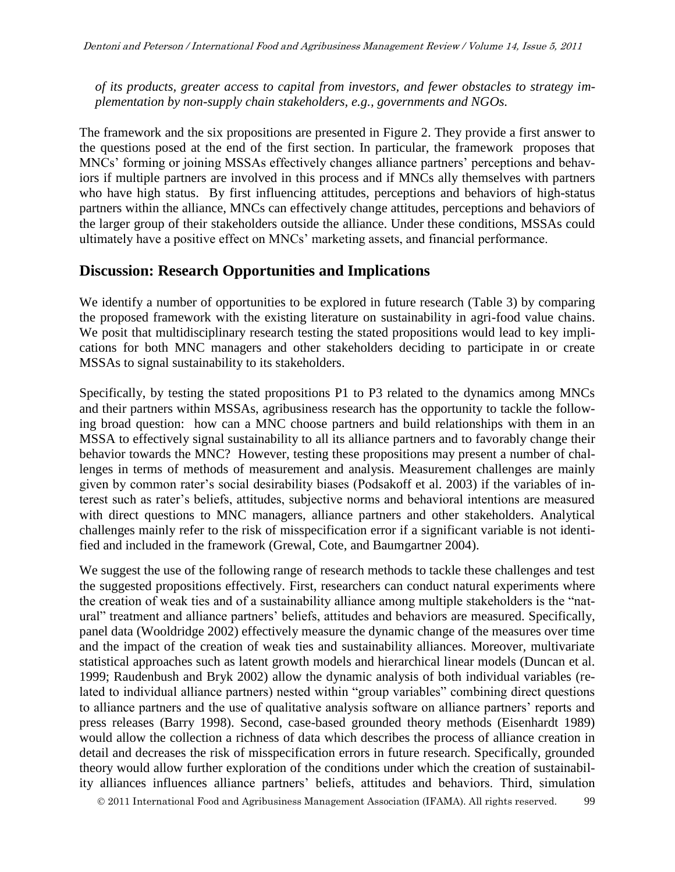*of its products, greater access to capital from investors, and fewer obstacles to strategy implementation by non-supply chain stakeholders, e.g., governments and NGOs.*

The framework and the six propositions are presented in Figure 2. They provide a first answer to the questions posed at the end of the first section. In particular, the framework proposes that MNCs' forming or joining MSSAs effectively changes alliance partners' perceptions and behaviors if multiple partners are involved in this process and if MNCs ally themselves with partners who have high status. By first influencing attitudes, perceptions and behaviors of high-status partners within the alliance, MNCs can effectively change attitudes, perceptions and behaviors of the larger group of their stakeholders outside the alliance. Under these conditions, MSSAs could ultimately have a positive effect on MNCs' marketing assets, and financial performance.

### **Discussion: Research Opportunities and Implications**

We identify a number of opportunities to be explored in future research (Table 3) by comparing the proposed framework with the existing literature on sustainability in agri-food value chains. We posit that multidisciplinary research testing the stated propositions would lead to key implications for both MNC managers and other stakeholders deciding to participate in or create MSSAs to signal sustainability to its stakeholders.

Specifically, by testing the stated propositions P1 to P3 related to the dynamics among MNCs and their partners within MSSAs, agribusiness research has the opportunity to tackle the following broad question: how can a MNC choose partners and build relationships with them in an MSSA to effectively signal sustainability to all its alliance partners and to favorably change their behavior towards the MNC? However, testing these propositions may present a number of challenges in terms of methods of measurement and analysis. Measurement challenges are mainly given by common rater's social desirability biases (Podsakoff et al. 2003) if the variables of interest such as rater's beliefs, attitudes, subjective norms and behavioral intentions are measured with direct questions to MNC managers, alliance partners and other stakeholders. Analytical challenges mainly refer to the risk of misspecification error if a significant variable is not identified and included in the framework (Grewal, Cote, and Baumgartner 2004).

We suggest the use of the following range of research methods to tackle these challenges and test the suggested propositions effectively. First, researchers can conduct natural experiments where the creation of weak ties and of a sustainability alliance among multiple stakeholders is the "natural" treatment and alliance partners' beliefs, attitudes and behaviors are measured. Specifically, panel data (Wooldridge 2002) effectively measure the dynamic change of the measures over time and the impact of the creation of weak ties and sustainability alliances. Moreover, multivariate statistical approaches such as latent growth models and hierarchical linear models (Duncan et al. 1999; Raudenbush and Bryk 2002) allow the dynamic analysis of both individual variables (related to individual alliance partners) nested within "group variables" combining direct questions to alliance partners and the use of qualitative analysis software on alliance partners' reports and press releases (Barry 1998). Second, case-based grounded theory methods (Eisenhardt 1989) would allow the collection a richness of data which describes the process of alliance creation in detail and decreases the risk of misspecification errors in future research. Specifically, grounded theory would allow further exploration of the conditions under which the creation of sustainability alliances influences alliance partners' beliefs, attitudes and behaviors. Third, simulation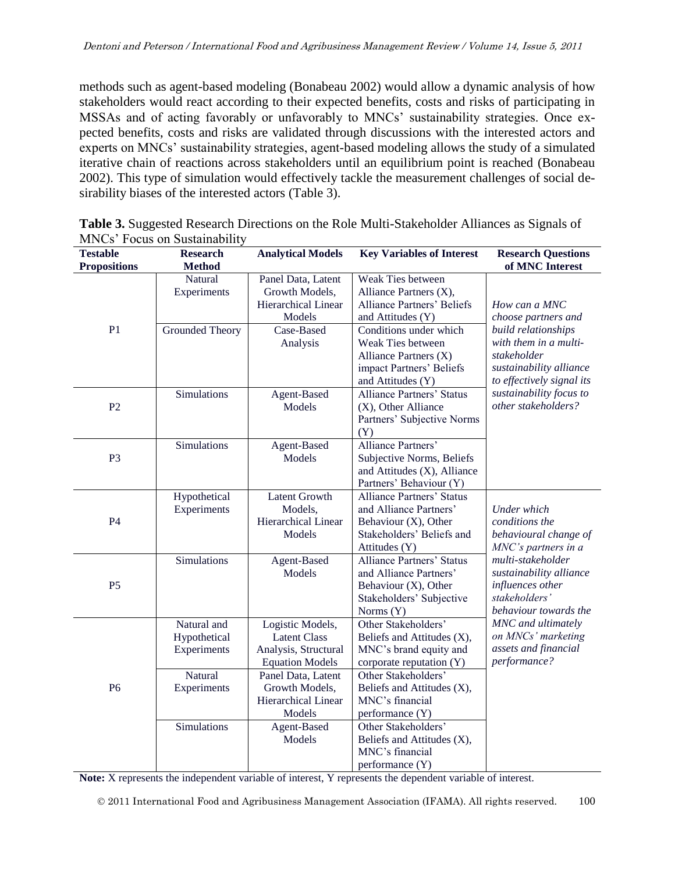methods such as agent-based modeling (Bonabeau 2002) would allow a dynamic analysis of how stakeholders would react according to their expected benefits, costs and risks of participating in MSSAs and of acting favorably or unfavorably to MNCs' sustainability strategies. Once expected benefits, costs and risks are validated through discussions with the interested actors and experts on MNCs' sustainability strategies, agent-based modeling allows the study of a simulated iterative chain of reactions across stakeholders until an equilibrium point is reached (Bonabeau 2002). This type of simulation would effectively tackle the measurement challenges of social desirability biases of the interested actors (Table 3).

| <b>Testable</b><br><b>Propositions</b> | <b>Research</b><br><b>Method</b> | <b>Analytical Models</b> | <b>Key Variables of Interest</b>  | <b>Research Questions</b><br>of MNC Interest |
|----------------------------------------|----------------------------------|--------------------------|-----------------------------------|----------------------------------------------|
|                                        | Natural                          | Panel Data, Latent       | Weak Ties between                 |                                              |
|                                        | Experiments                      | Growth Models,           | Alliance Partners (X),            |                                              |
|                                        |                                  | Hierarchical Linear      | <b>Alliance Partners' Beliefs</b> | How can a MNC                                |
|                                        |                                  | Models                   | and Attitudes (Y)                 | choose partners and                          |
| P <sub>1</sub>                         | Grounded Theory                  | Case-Based               | Conditions under which            | build relationships                          |
|                                        |                                  | Analysis                 | Weak Ties between                 | with them in a multi-                        |
|                                        |                                  |                          | Alliance Partners $(X)$           | stakeholder                                  |
|                                        |                                  |                          | impact Partners' Beliefs          | sustainability alliance                      |
|                                        |                                  |                          | and Attitudes (Y)                 | to effectively signal its                    |
|                                        | Simulations                      | Agent-Based              | <b>Alliance Partners' Status</b>  | sustainability focus to                      |
| P <sub>2</sub>                         |                                  | Models                   | (X), Other Alliance               | other stakeholders?                          |
|                                        |                                  |                          | Partners' Subjective Norms        |                                              |
|                                        |                                  |                          | (Y)                               |                                              |
|                                        | Simulations                      | Agent-Based              | Alliance Partners'                |                                              |
| P <sub>3</sub>                         |                                  | Models                   | Subjective Norms, Beliefs         |                                              |
|                                        |                                  |                          | and Attitudes (X), Alliance       |                                              |
|                                        |                                  |                          | Partners' Behaviour (Y)           |                                              |
|                                        | Hypothetical                     | <b>Latent Growth</b>     | <b>Alliance Partners' Status</b>  |                                              |
|                                        | Experiments                      | Models,                  | and Alliance Partners'            | Under which                                  |
| <b>P4</b>                              |                                  | Hierarchical Linear      | Behaviour (X), Other              | conditions the                               |
|                                        |                                  | Models                   | Stakeholders' Beliefs and         | behavioural change of                        |
|                                        |                                  |                          | Attitudes (Y)                     | MNC's partners in a                          |
|                                        | <b>Simulations</b>               | Agent-Based              | <b>Alliance Partners' Status</b>  | multi-stakeholder                            |
| P <sub>5</sub>                         |                                  | Models                   | and Alliance Partners'            | sustainability alliance                      |
|                                        |                                  |                          | Behaviour (X), Other              | influences other                             |
|                                        |                                  |                          | Stakeholders' Subjective          | stakeholders'                                |
|                                        |                                  |                          | Norms (Y)                         | behaviour towards the                        |
| P <sub>6</sub>                         | Natural and                      | Logistic Models,         | Other Stakeholders'               | MNC and ultimately                           |
|                                        | Hypothetical                     | <b>Latent Class</b>      | Beliefs and Attitudes (X),        | on MNCs' marketing                           |
|                                        | Experiments                      | Analysis, Structural     | MNC's brand equity and            | assets and financial                         |
|                                        |                                  | <b>Equation Models</b>   | corporate reputation (Y)          | performance?                                 |
|                                        | Natural                          | Panel Data, Latent       | Other Stakeholders'               |                                              |
|                                        | Experiments                      | Growth Models,           | Beliefs and Attitudes (X),        |                                              |
|                                        |                                  | Hierarchical Linear      | MNC's financial                   |                                              |
|                                        |                                  | Models                   | performance (Y)                   |                                              |
|                                        | Simulations                      | Agent-Based              | Other Stakeholders'               |                                              |
|                                        |                                  | Models                   | Beliefs and Attitudes (X),        |                                              |
|                                        |                                  |                          | MNC's financial                   |                                              |
|                                        |                                  |                          | performance (Y)                   |                                              |

| <b>Table 3.</b> Suggested Research Directions on the Role Multi-Stakeholder Alliances as Signals of |  |  |  |
|-----------------------------------------------------------------------------------------------------|--|--|--|
| MNCs' Focus on Sustainability                                                                       |  |  |  |

**Note:** X represents the independent variable of interest, Y represents the dependent variable of interest.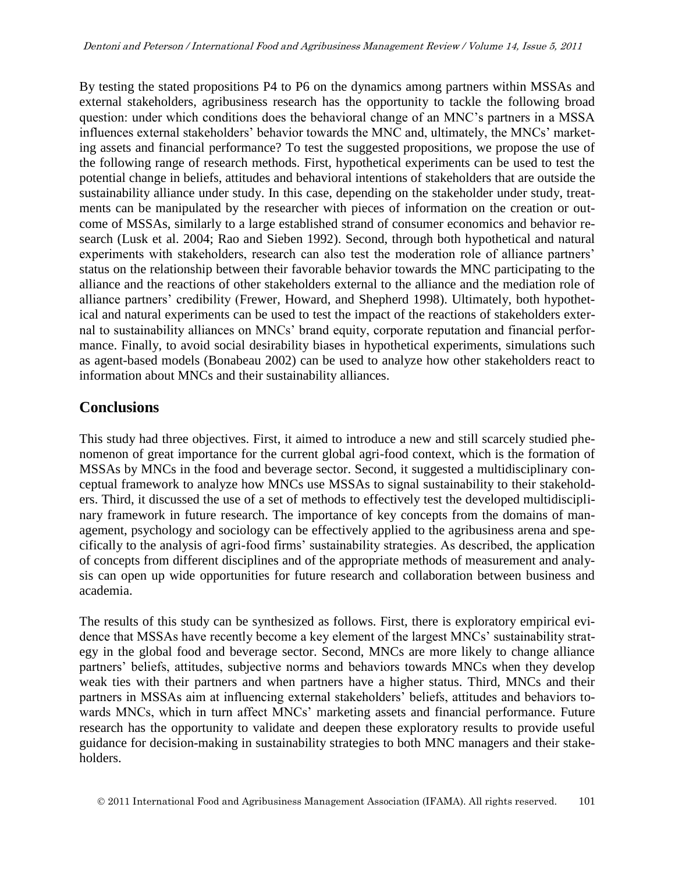By testing the stated propositions P4 to P6 on the dynamics among partners within MSSAs and external stakeholders, agribusiness research has the opportunity to tackle the following broad question: under which conditions does the behavioral change of an MNC's partners in a MSSA influences external stakeholders' behavior towards the MNC and, ultimately, the MNCs' marketing assets and financial performance? To test the suggested propositions, we propose the use of the following range of research methods. First, hypothetical experiments can be used to test the potential change in beliefs, attitudes and behavioral intentions of stakeholders that are outside the sustainability alliance under study. In this case, depending on the stakeholder under study, treatments can be manipulated by the researcher with pieces of information on the creation or outcome of MSSAs, similarly to a large established strand of consumer economics and behavior research (Lusk et al. 2004; Rao and Sieben 1992). Second, through both hypothetical and natural experiments with stakeholders, research can also test the moderation role of alliance partners' status on the relationship between their favorable behavior towards the MNC participating to the alliance and the reactions of other stakeholders external to the alliance and the mediation role of alliance partners' credibility (Frewer, Howard, and Shepherd 1998). Ultimately, both hypothetical and natural experiments can be used to test the impact of the reactions of stakeholders external to sustainability alliances on MNCs' brand equity, corporate reputation and financial performance. Finally, to avoid social desirability biases in hypothetical experiments, simulations such as agent-based models (Bonabeau 2002) can be used to analyze how other stakeholders react to information about MNCs and their sustainability alliances.

## **Conclusions**

This study had three objectives. First, it aimed to introduce a new and still scarcely studied phenomenon of great importance for the current global agri-food context, which is the formation of MSSAs by MNCs in the food and beverage sector. Second, it suggested a multidisciplinary conceptual framework to analyze how MNCs use MSSAs to signal sustainability to their stakeholders. Third, it discussed the use of a set of methods to effectively test the developed multidisciplinary framework in future research. The importance of key concepts from the domains of management, psychology and sociology can be effectively applied to the agribusiness arena and specifically to the analysis of agri-food firms' sustainability strategies. As described, the application of concepts from different disciplines and of the appropriate methods of measurement and analysis can open up wide opportunities for future research and collaboration between business and academia.

The results of this study can be synthesized as follows. First, there is exploratory empirical evidence that MSSAs have recently become a key element of the largest MNCs' sustainability strategy in the global food and beverage sector. Second, MNCs are more likely to change alliance partners' beliefs, attitudes, subjective norms and behaviors towards MNCs when they develop weak ties with their partners and when partners have a higher status. Third, MNCs and their partners in MSSAs aim at influencing external stakeholders' beliefs, attitudes and behaviors towards MNCs, which in turn affect MNCs' marketing assets and financial performance. Future research has the opportunity to validate and deepen these exploratory results to provide useful guidance for decision-making in sustainability strategies to both MNC managers and their stakeholders.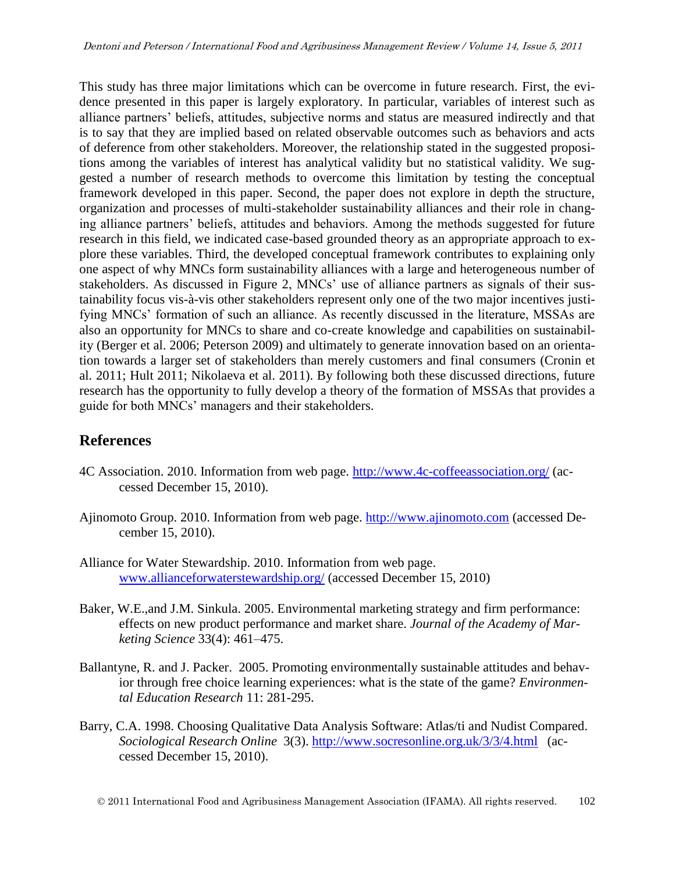This study has three major limitations which can be overcome in future research. First, the evidence presented in this paper is largely exploratory. In particular, variables of interest such as alliance partners' beliefs, attitudes, subjective norms and status are measured indirectly and that is to say that they are implied based on related observable outcomes such as behaviors and acts of deference from other stakeholders. Moreover, the relationship stated in the suggested propositions among the variables of interest has analytical validity but no statistical validity. We suggested a number of research methods to overcome this limitation by testing the conceptual framework developed in this paper. Second, the paper does not explore in depth the structure, organization and processes of multi-stakeholder sustainability alliances and their role in changing alliance partners' beliefs, attitudes and behaviors. Among the methods suggested for future research in this field, we indicated case-based grounded theory as an appropriate approach to explore these variables. Third, the developed conceptual framework contributes to explaining only one aspect of why MNCs form sustainability alliances with a large and heterogeneous number of stakeholders. As discussed in Figure 2, MNCs' use of alliance partners as signals of their sustainability focus vis-à-vis other stakeholders represent only one of the two major incentives justifying MNCs' formation of such an alliance. As recently discussed in the literature, MSSAs are also an opportunity for MNCs to share and co-create knowledge and capabilities on sustainability (Berger et al. 2006; Peterson 2009) and ultimately to generate innovation based on an orientation towards a larger set of stakeholders than merely customers and final consumers (Cronin et al. 2011; Hult 2011; Nikolaeva et al. 2011). By following both these discussed directions, future research has the opportunity to fully develop a theory of the formation of MSSAs that provides a guide for both MNCs' managers and their stakeholders.

# **References**

- 4C Association. 2010. Information from web page.<http://www.4c-coffeeassociation.org/> (accessed December 15, 2010).
- Ajinomoto Group. 2010. Information from web page. [http://www.ajinomoto.com](http://www.ajinomoto.com/) (accessed December 15, 2010).
- Alliance for Water Stewardship. 2010. Information from web page. [www.allianceforwaterstewardship.org/](http://www.allianceforwaterstewardship.org/) (accessed December 15, 2010)
- Baker, W.E.,and J.M. Sinkula. 2005. Environmental marketing strategy and firm performance: effects on new product performance and market share. *Journal of the Academy of Marketing Science* 33(4): 461–475.
- Ballantyne, R. and J. Packer. 2005. Promoting environmentally sustainable attitudes and behavior through free choice learning experiences: what is the state of the game? *Environmental Education Research* 11: 281-295.
- Barry, C.A. 1998. Choosing Qualitative Data Analysis Software: Atlas/ti and Nudist Compared. *Sociological Research Online* 3(3).<http://www.socresonline.org.uk/3/3/4.html> (accessed December 15, 2010).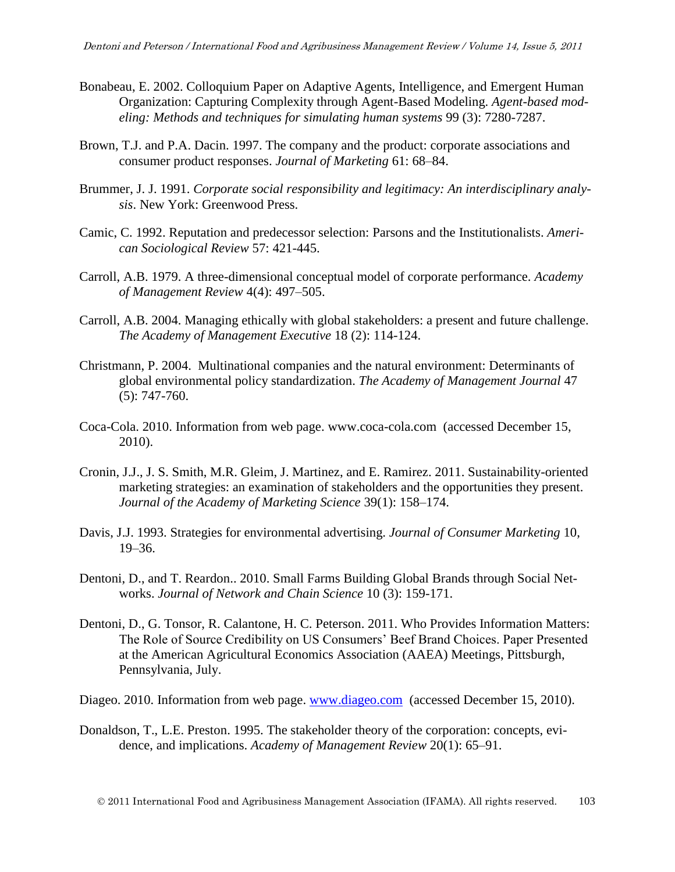- Bonabeau, E. 2002. Colloquium Paper on Adaptive Agents, Intelligence, and Emergent Human Organization: Capturing Complexity through Agent-Based Modeling. *Agent-based modeling: Methods and techniques for simulating human systems* 99 (3): 7280-7287.
- Brown, T.J. and P.A. Dacin. 1997. The company and the product: corporate associations and consumer product responses. *Journal of Marketing* 61: 68–84.
- Brummer, J. J. 1991. *Corporate social responsibility and legitimacy: An interdisciplinary analysis*. New York: Greenwood Press.
- Camic, C. 1992. Reputation and predecessor selection: Parsons and the Institutionalists. *American Sociological Review* 57: 421-445.
- Carroll, A.B. 1979. A three-dimensional conceptual model of corporate performance. *Academy of Management Review* 4(4): 497–505.
- Carroll, A.B. 2004. [Managing ethically with global stakeholders: a present and future challenge.](http://www.jstor.org/stable/4166070) *The Academy of Management Executive* 18 (2): 114-124.
- Christmann, P. 2004. [Multinational companies and the natural environment: Determinants of](http://www.jstor.org/stable/20159616)  [global environmental policy standardization.](http://www.jstor.org/stable/20159616) *The Academy of Management Journal* 47 (5): 747-760.
- Coca-Cola. 2010. Information from web page. [www.coca-cola.com](http://www.coca-cola.com/) (accessed December 15, 2010).
- Cronin, J.J., J. S. Smith, M.R. Gleim, J. Martinez, and E. Ramirez. 2011. Sustainability-oriented marketing strategies: an examination of stakeholders and the opportunities they present. *Journal of the Academy of Marketing Science* 39(1): 158–174.
- Davis, J.J. 1993. Strategies for environmental advertising. *Journal of Consumer Marketing* 10, 19–36.
- Dentoni, D., and T. Reardon.. 2010. Small Farms Building Global Brands through Social Networks. *Journal of Network and Chain Science* 10 (3): 159-171.
- Dentoni, D., G. Tonsor, R. Calantone, H. C. Peterson. 2011. Who Provides Information Matters: The Role of Source Credibility on US Consumers' Beef Brand Choices. Paper Presented at the American Agricultural Economics Association (AAEA) Meetings, Pittsburgh, Pennsylvania, July.

Diageo. 2010. Information from web page. [www.diageo.com](http://www.diageo.com/) (accessed December 15, 2010).

Donaldson, T., L.E. Preston. 1995. The stakeholder theory of the corporation: concepts, evidence, and implications. *Academy of Management Review* 20(1): 65–91.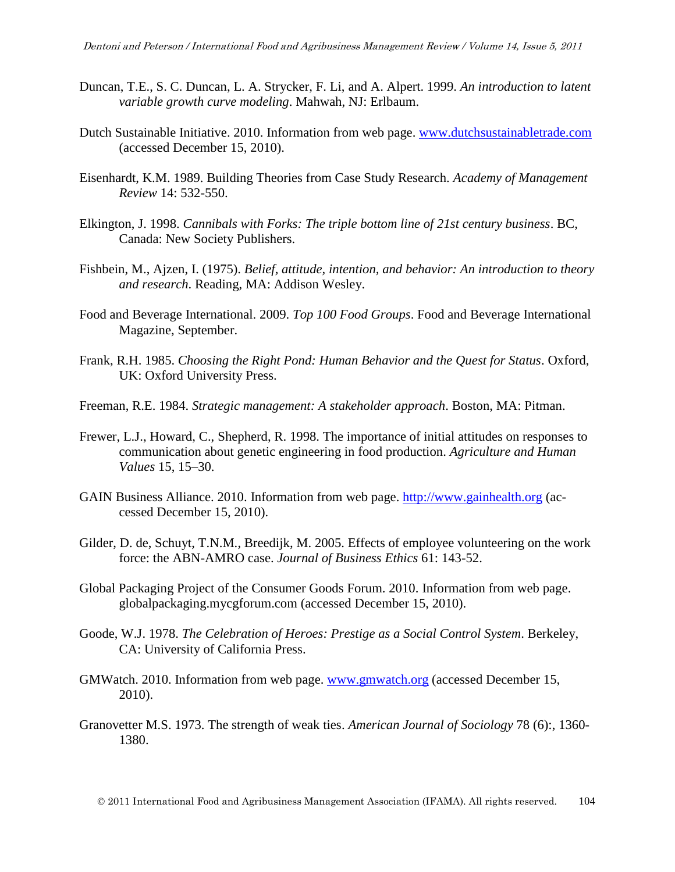- Duncan, T.E., S. C. Duncan, L. A. Strycker, F. Li, and A. Alpert. 1999. *An introduction to latent variable growth curve modeling*. Mahwah, NJ: Erlbaum.
- Dutch Sustainable Initiative. 2010. Information from web page. [www.dutchsustainabletrade.com](http://www.dutchsustainabletrade.com/) (accessed December 15, 2010).
- Eisenhardt, K.M. 1989. Building Theories from Case Study Research. *Academy of Management Review* 14: 532-550.
- Elkington, J. 1998. *Cannibals with Forks: The triple bottom line of 21st century business*. BC, Canada: New Society Publishers.
- Fishbein, M., Ajzen, I. (1975). *Belief, attitude, intention, and behavior: An introduction to theory and research*. Reading, MA: Addison Wesley.
- Food and Beverage International. 2009. *Top 100 Food Groups*. Food and Beverage International Magazine, September.
- Frank, R.H. 1985. *Choosing the Right Pond: Human Behavior and the Quest for Status*. Oxford, UK: Oxford University Press.
- Freeman, R.E. 1984. *Strategic management: A stakeholder approach*. Boston, MA: Pitman.
- Frewer, L.J., Howard, C., Shepherd, R. 1998. The importance of initial attitudes on responses to communication about genetic engineering in food production. *Agriculture and Human Values* 15, 15–30.
- GAIN Business Alliance. 2010. Information from web page. [http://www.gainhealth.org](http://www.gainhealth.org/) (accessed December 15, 2010).
- Gilder, D. de, Schuyt, T.N.M., Breedijk, M. 2005. Effects of employee volunteering on the work force: the ABN-AMRO case. *Journal of Business Ethics* 61: 143-52.
- Global Packaging Project of the Consumer Goods Forum. 2010. Information from web page. globalpackaging.mycgforum.com (accessed December 15, 2010).
- Goode, W.J. 1978. *The Celebration of Heroes: Prestige as a Social Control System*. Berkeley, CA: University of California Press.
- GMWatch. 2010. Information from web page. [www.gmwatch.org](http://www.gmwatch.org/) (accessed December 15, 2010).
- Granovetter M.S. 1973. The strength of weak ties. *American Journal of Sociology* 78 (6):, 1360- 1380.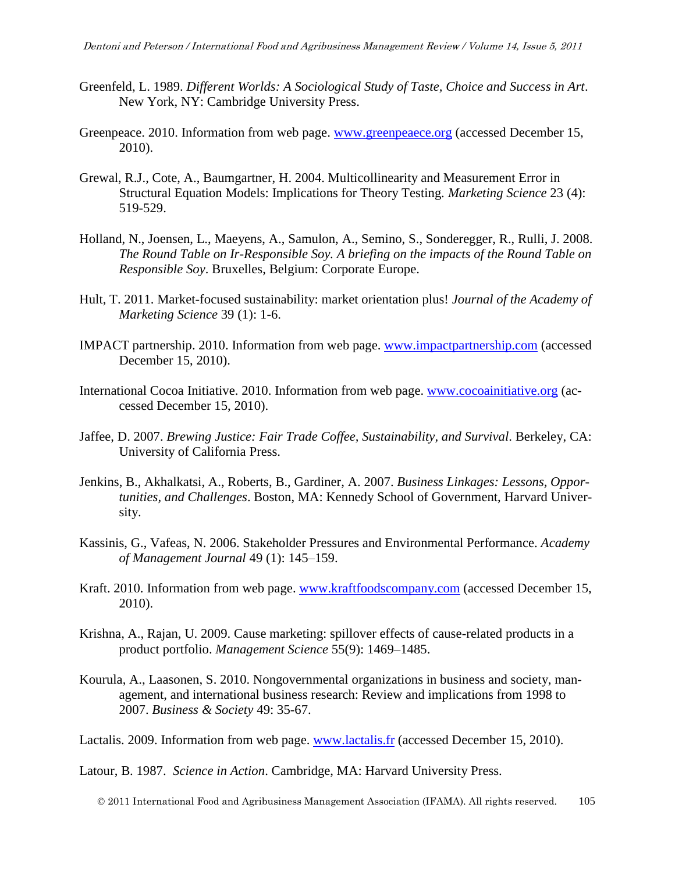- Greenfeld, L. 1989. *Different Worlds: A Sociological Study of Taste, Choice and Success in Art*. New York, NY: Cambridge University Press.
- Greenpeace. 2010. Information from web page. [www.greenpeaece.org](http://www.greenpeaece.org/) (accessed December 15, 2010).
- Grewal, R.J., Cote, A., Baumgartner, H. 2004. Multicollinearity and Measurement Error in Structural Equation Models: Implications for Theory Testing. *Marketing Science* 23 (4): 519-529.
- Holland, N., Joensen, L., Maeyens, A., Samulon, A., Semino, S., Sonderegger, R., Rulli, J. 2008. *The Round Table on Ir-Responsible Soy. A briefing on the impacts of the Round Table on Responsible Soy*. Bruxelles, Belgium: Corporate Europe.
- Hult, T. 2011. Market-focused sustainability: market orientation plus! *Journal of the Academy of Marketing Science* 39 (1): 1-6.
- IMPACT partnership. 2010. Information from web page. [www.impactpartnership.com](http://www.impactpartnership.com/) (accessed December 15, 2010).
- International Cocoa Initiative. 2010. Information from web page. [www.cocoainitiative.org](http://www.cocoainitiative.org/) (accessed December 15, 2010).
- Jaffee, D. 2007. *Brewing Justice: Fair Trade Coffee, Sustainability, and Survival*. Berkeley, CA: University of California Press.
- Jenkins, B., Akhalkatsi, A., Roberts, B., Gardiner, A. 2007. *Business Linkages: Lessons, Opportunities, and Challenges*. Boston, MA: Kennedy School of Government, Harvard University.
- Kassinis, G., Vafeas, N. 2006. Stakeholder Pressures and Environmental Performance. *Academy of Management Journal* 49 (1): 145–159.
- Kraft. 2010. Information from web page. [www.kraftfoodscompany.com](http://www.kraftfoodscompany.com/) (accessed December 15, 2010).
- Krishna, A., Rajan, U. 2009. Cause marketing: spillover effects of cause-related products in a product portfolio. *Management Science* 55(9): 1469–1485.
- Kourula, A., Laasonen, S. 2010. Nongovernmental organizations in business and society, management, and international business research: Review and implications from 1998 to 2007. *Business & Society* 49: 35-67.
- Lactalis. 2009. Information from web page. [www.lactalis.fr](http://www.lactalis.fr/) (accessed December 15, 2010).

Latour, B. 1987. *Science in Action*. Cambridge, MA: Harvard University Press.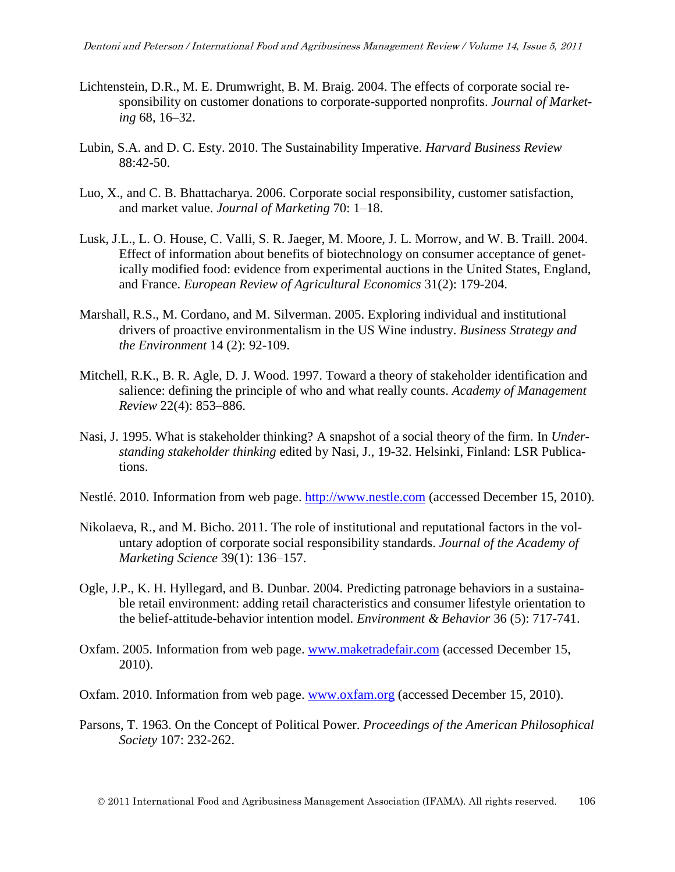- Lichtenstein, D.R., M. E. Drumwright, B. M. Braig. 2004. The effects of corporate social responsibility on customer donations to corporate-supported nonprofits. *Journal of Marketing* 68, 16–32.
- Lubin, S.A. and D. C. Esty. 2010. The Sustainability Imperative. *Harvard Business Review* 88:42-50.
- Luo, X., and C. B. Bhattacharya. 2006. Corporate social responsibility, customer satisfaction, and market value. *Journal of Marketing* 70: 1–18.
- Lusk, J.L., L. O. House, C. Valli, S. R. Jaeger, M. Moore, J. L. Morrow, and W. B. Traill. 2004. Effect of information about benefits of biotechnology on consumer acceptance of genetically modified food: evidence from experimental auctions in the United States, England, and France. *European Review of Agricultural Economics* 31(2): 179-204.
- Marshall, R.S., M. Cordano, and M. Silverman. 2005. Exploring individual and institutional drivers of proactive environmentalism in the US Wine industry. *Business Strategy and the Environment* 14 (2): 92-109.
- Mitchell, R.K., B. R. Agle, D. J. Wood. 1997. Toward a theory of stakeholder identification and salience: defining the principle of who and what really counts. *Academy of Management Review* 22(4): 853–886.
- Nasi, J. 1995. What is stakeholder thinking? A snapshot of a social theory of the firm. In *Understanding stakeholder thinking* edited by Nasi, J., 19-32. Helsinki, Finland: LSR Publications.
- Nestlé. 2010. Information from web page. [http://www.nestle.com](http://www.nestle.com/) (accessed December 15, 2010).
- Nikolaeva, R., and M. Bicho. 2011. The role of institutional and reputational factors in the voluntary adoption of corporate social responsibility standards. *Journal of the Academy of Marketing Science* 39(1): 136–157.
- Ogle, J.P., K. H. Hyllegard, and B. Dunbar. 2004. Predicting patronage behaviors in a sustainable retail environment: adding retail characteristics and consumer lifestyle orientation to the belief-attitude-behavior intention model. *Environment & Behavior* 36 (5): 717-741.
- Oxfam. 2005. Information from web page. [www.maketradefair.com](http://www.maketradefair.com/) (accessed December 15, 2010).
- Oxfam. 2010. Information from web page. [www.oxfam.org](http://www.oxfam.org/) (accessed December 15, 2010).
- Parsons, T. 1963. On the Concept of Political Power. *Proceedings of the American Philosophical Society* 107: 232-262.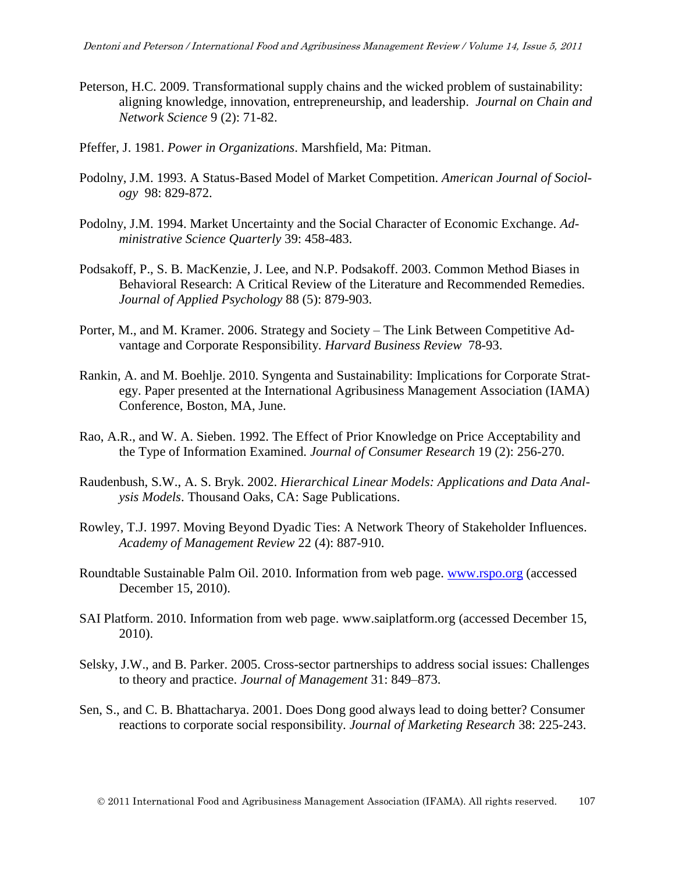- Peterson, H.C. 2009. Transformational supply chains and the wicked problem of sustainability: aligning knowledge, innovation, entrepreneurship, and leadership. *[Journal on Chain and](http://wageningenacademic.metapress.com/content/120816/?p=fb7e5492a1ce44e98b40cbb8c7e29bb0&pi=0)  [Network Science](http://wageningenacademic.metapress.com/content/120816/?p=fb7e5492a1ce44e98b40cbb8c7e29bb0&pi=0)* 9 (2): 71-82.
- Pfeffer, J. 1981. *Power in Organizations*. Marshfield, Ma: Pitman.
- Podolny, J.M. 1993. A Status-Based Model of Market Competition. *American Journal of Sociology* 98: 829-872.
- Podolny, J.M. 1994. Market Uncertainty and the Social Character of Economic Exchange. *Administrative Science Quarterly* 39: 458-483.
- Podsakoff, P., S. B. MacKenzie, J. Lee, and N.P. Podsakoff. 2003. Common Method Biases in Behavioral Research: A Critical Review of the Literature and Recommended Remedies. *Journal of Applied Psychology* 88 (5): 879-903.
- Porter, M., and M. Kramer. 2006. Strategy and Society The Link Between Competitive Advantage and Corporate Responsibility. *Harvard Business Review* 78-93.
- Rankin, A. and M. Boehlje. 2010. [Syngenta and Sustainability: Implications for Corporate Strat](http://ageconsearch.umn.edu/bitstream/61309/2/SyngentaPoster12343c.pdf)[egy.](http://ageconsearch.umn.edu/bitstream/61309/2/SyngentaPoster12343c.pdf) Paper presented at the International Agribusiness Management Association (IAMA) Conference, Boston, MA, June.
- Rao, A.R., and W. A. Sieben. 1992. The Effect of Prior Knowledge on Price Acceptability and the Type of Information Examined. *Journal of Consumer Research* 19 (2): 256-270.
- Raudenbush, S.W., A. S. Bryk. 2002. *Hierarchical Linear Models: Applications and Data Analysis Models*. Thousand Oaks, CA: Sage Publications.
- Rowley, T.J. 1997. Moving Beyond Dyadic Ties: A Network Theory of Stakeholder Influences. *Academy of Management Review* 22 (4): 887-910.
- Roundtable Sustainable Palm Oil. 2010. Information from web page. [www.rspo.org](http://www.rspo.org/) (accessed December 15, 2010).
- SAI Platform. 2010. Information from web page. [www.saiplatform.org](http://www.saiplatform.org/) (accessed December 15, 2010).
- Selsky, J.W., and B. Parker. 2005. Cross-sector partnerships to address social issues: Challenges to theory and practice. *Journal of Management* 31: 849–873.
- Sen, S., and C. B. Bhattacharya. 2001. Does Dong good always lead to doing better? Consumer reactions to corporate social responsibility. *Journal of Marketing Research* 38: 225-243.